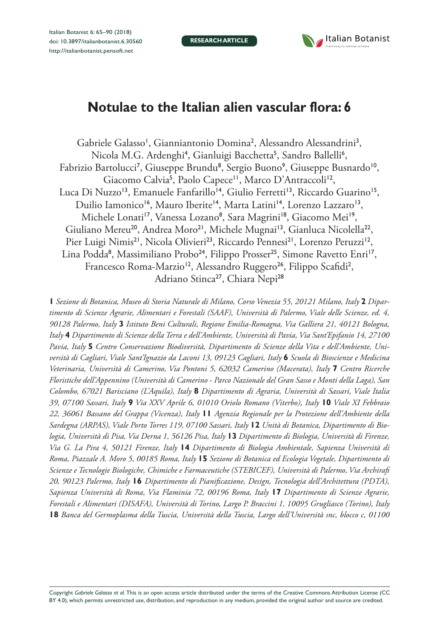**RESEARCH ARTICLE**



# **Notulae to the Italian alien vascular flora: 6**

Gabriele Galasso<sup>1</sup>, Gianniantonio Domina<sup>2</sup>, Alessandro Alessandrini<sup>3</sup>, Nicola M.G. Ardenghi<sup>4</sup>, Gianluigi Bacchetta<sup>5</sup>, Sandro Ballelli<sup>6</sup>, Fabrizio Bartolucci<sup>7</sup>, Giuseppe Brundu<sup>8</sup>, Sergio Buono<sup>9</sup>, Giuseppe Busnardo<sup>10</sup>, Giacomo Calvia<sup>5</sup>, Paolo Capece<sup>11</sup>, Marco D'Antraccoli<sup>12</sup>, Luca Di Nuzzo<sup>13</sup>, Emanuele Fanfarillo<sup>14</sup>, Giulio Ferretti<sup>13</sup>, Riccardo Guarino<sup>15</sup>, Duilio Iamonico<sup>16</sup>, Mauro Iberite<sup>14</sup>, Marta Latini<sup>14</sup>, Lorenzo Lazzaro<sup>13</sup>, Michele Lonati'<sup>7</sup>, Vanessa Lozano<sup>8</sup>, Sara Magrini'<sup>8</sup>, Giacomo Mei'<sup>9</sup>, Giuliano Mereu<sup>20</sup>, Andrea Moro<sup>21</sup>, Michele Mugnai<sup>13</sup>, Gianluca Nicolella<sup>22</sup>, Pier Luigi Nimis<sup>21</sup>, Nicola Olivieri<sup>23</sup>, Riccardo Pennesi<sup>21</sup>, Lorenzo Peruzzi<sup>12</sup>, Lina Podda<sup>8</sup>, Massimiliano Probo<sup>24</sup>, Filippo Prosser<sup>25</sup>, Simone Ravetto Enri<sup>17</sup>, Francesco Roma-Marzio<sup>12</sup>, Alessandro Ruggero<sup>26</sup>, Filippo Scafidi<sup>2</sup>, Adriano Stinca<sup>27</sup>, Chiara Nepi<sup>28</sup>

**1** *Sezione di Botanica, Museo di Storia Naturale di Milano, Corso Venezia 55, 20121 Milano, Italy* **2** *Dipartimento di Scienze Agrarie, Alimentari e Forestali (SAAF), Università di Palermo, Viale delle Scienze, ed. 4, 90128 Palermo, Italy* **3** *Istituto Beni Culturali, Regione Emilia-Romagna, Via Galliera 21, 40121 Bologna, Italy* **4** *Dipartimento di Scienze della Terra e dell'Ambiente, Università di Pavia, Via Sant'Epifanio 14, 27100 Pavia, Italy* **5** *Centro Conservazione Biodiversità, Dipartimento di Scienze della Vita e dell'Ambiente, Università di Cagliari, Viale Sant'Ignazio da Laconi 13, 09123 Cagliari, Italy* **6** *Scuola di Bioscienze e Medicina Veterinaria, Università di Camerino, Via Pontoni 5, 62032 Camerino (Macerata), Italy* **7** *Centro Ricerche Floristiche dell'Appennino (Università di Camerino - Parco Nazionale del Gran Sasso e Monti della Laga), San Colombo, 67021 Barisciano (L'Aquila), Italy* **8** *Dipartimento di Agraria, Università di Sassari, Viale Italia 39, 07100 Sassari, Italy* **9** *Via XXV Aprile 6, 01010 Oriolo Romano (Viterbo), Italy* **10** *Viale XI Febbraio 22, 36061 Bassano del Grappa (Vicenza), Italy* **11** *Agenzia Regionale per la Protezione dell'Ambiente della Sardegna (ARPAS), Viale Porto Torres 119, 07100 Sassari, Italy* **12** *Unità di Botanica, Dipartimento di Biologia, Università di Pisa, Via Derna 1, 56126 Pisa, Italy* **13** *Dipartimento di Biologia, Università di Firenze, Via G. La Pira 4, 50121 Firenze, Italy* **14** *Dipartimento di Biologia Ambientale, Sapienza Università di Roma, Piazzale A. Moro 5, 00185 Roma, Italy* **15** *Sezione di Botanica ed Ecologia Vegetale, Dipartimento di Scienze e Tecnologie Biologiche, Chimiche e Farmaceutiche (STEBICEF), Università di Palermo, Via Archirafi 20, 90123 Palermo, Italy* **16** *Dipartimento di Pianificazione, Design, Tecnologia dell'Architettura (PDTA), Sapienza Università di Roma, Via Flaminia 72, 00196 Roma, Italy* **17** *Dipartimento di Scienze Agrarie, Forestali e Alimentari (DISAFA), Università di Torino, Largo P. Braccini 1, 10095 Grugliasco (Torino), Italy*  **18** *Banca del Germoplasma della Tuscia, Università della Tuscia, Largo dell'Università snc, blocco c, 01100* 

Copyright *Gabriele Galasso et al.* This is an open access article distributed under the terms of the [Creative Commons Attribution License \(CC](http://creativecommons.org/licenses/by/4.0/)  [BY 4.0\)](http://creativecommons.org/licenses/by/4.0/), which permits unrestricted use, distribution, and reproduction in any medium, provided the original author and source are credited.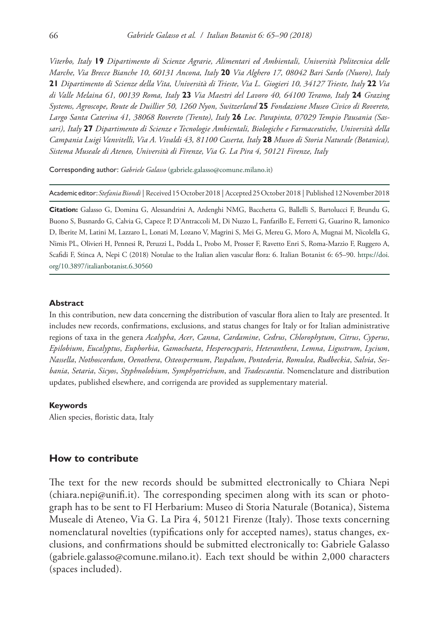*Viterbo, Italy* **19** *Dipartimento di Scienze Agrarie, Alimentari ed Ambientali, Università Politecnica delle Marche, Via Brecce Bianche 10, 60131 Ancona, Italy* **20** *Via Alghero 17, 08042 Bari Sardo (Nuoro), Italy*  **21** *Dipartimento di Scienze della Vita, Università di Trieste, Via L. Giogieri 10, 34127 Trieste, Italy* **22** *Via di Valle Melaina 61, 00139 Roma, Italy* **23** *Via Maestri del Lavoro 40, 64100 Teramo, Italy* **24** *Grazing Systems, Agroscope, Route de Duillier 50, 1260 Nyon, Switzerland* **25** *Fondazione Museo Civico di Rovereto, Largo Santa Caterina 41, 38068 Rovereto (Trento), Italy* **26** *Loc. Parapinta, 07029 Tempio Pausania (Sassari), Italy* **27** *Dipartimento di Scienze e Tecnologie Ambientali, Biologiche e Farmaceutiche, Università della Campania Luigi Vanvitelli, Via A. Vivaldi 43, 81100 Caserta, Italy* **28** *Museo di Storia Naturale (Botanica), Sistema Museale di Ateneo, Università di Firenze, Via G. La Pira 4, 50121 Firenze, Italy*

Corresponding author: *Gabriele Galasso* ([gabriele.galasso@comune.milano.it](mailto:gabriele.galasso@comune.milano.it))

Academic editor:*Stefania Biondi* | Received 15 October 2018 | Accepted 25 October 2018 | Published 12 November 2018

**Citation:** Galasso G, Domina G, Alessandrini A, Ardenghi NMG, Bacchetta G, Ballelli S, Bartolucci F, Brundu G, Buono S, Busnardo G, Calvia G, Capece P, D'Antraccoli M, Di Nuzzo L, Fanfarillo E, Ferretti G, Guarino R, Iamonico D, Iberite M, Latini M, Lazzaro L, Lonati M, Lozano V, Magrini S, Mei G, Mereu G, Moro A, Mugnai M, Nicolella G, Nimis PL, Olivieri Н, Pennesi R, Peruzzi L, Podda L, Probo M, Prosser F, Ravetto Enri S, Roma-Marzio F, Ruggero A, Scafidi F, Stinca A, Nepi C (2018) Notulae to the Italian alien vascular flora: 6. Italian Botanist 6: 65–90. [https://doi.](https://doi.org/10.3897/italianbotanist.6.30560) [org/10.3897/italianbotanist.6.30560](https://doi.org/10.3897/italianbotanist.6.30560)

#### **Abstract**

In this contribution, new data concerning the distribution of vascular flora alien to Italy are presented. It includes new records, confirmations, exclusions, and status changes for Italy or for Italian administrative regions of taxa in the genera *Acalypha*, *Acer*, *Canna*, *Cardamine*, *Cedrus*, *Chlorophytum*, *Citrus*, *Cyperus*, *Epilobium*, *Eucalyptus*, *Euphorbia*, *Gamochaeta*, *Hesperocyparis*, *Heteranthera*, *Lemna*, *Ligustrum*, *Lycium*, *Nassella*, *Nothoscordum*, *Oenothera*, *Osteospermum*, *Paspalum*, *Pontederia*, *Romulea*, *Rudbeckia*, *Salvia*, *Sesbania*, *Setaria*, *Sicyos*, *Styphnolobium*, *Symphyotrichum*, and *Tradescantia*. Nomenclature and distribution updates, published elsewhere, and corrigenda are provided as supplementary material.

#### **Keywords**

Alien species, floristic data, Italy

## **How to contribute**

The text for the new records should be submitted electronically to Chiara Nepi ([chiara.nepi@unifi.it\)](mailto:chiara.nepi@unifi.it). The corresponding specimen along with its scan or photograph has to be sent to FI Herbarium: Museo di Storia Naturale (Botanica), Sistema Museale di Ateneo, Via G. La Pira 4, 50121 Firenze (Italy). Those texts concerning nomenclatural novelties (typifications only for accepted names), status changes, exclusions, and confirmations should be submitted electronically to: Gabriele Galasso ([gabriele.galasso@comune.milano.it\)](mailto:gabriele.galasso@comune.milano.it). Each text should be within 2,000 characters (spaces included).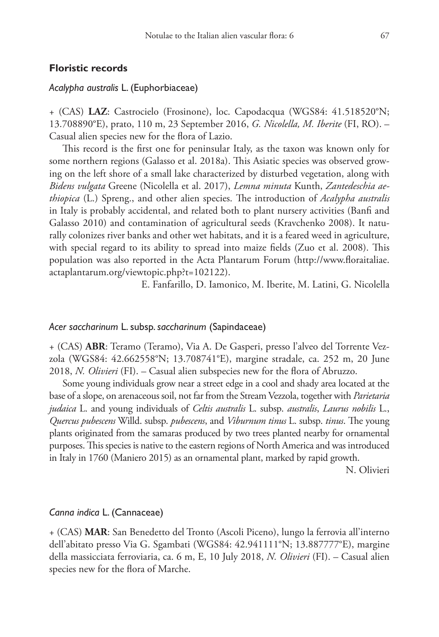## **Floristic records**

# *Acalypha australis* L. (Euphorbiaceae)

+ (CAS) **LAZ**: Castrocielo (Frosinone), loc. Capodacqua (WGS84: 41.518520°N; 13.708890°E), prato, 110 m, 23 September 2016, *G. Nicolella, M. Iberite* (FI, RO). – Casual alien species new for the flora of Lazio.

This record is the first one for peninsular Italy, as the taxon was known only for some northern regions (Galasso et al. 2018a). This Asiatic species was observed growing on the left shore of a small lake characterized by disturbed vegetation, along with *Bidens vulgata* Greene (Nicolella et al. 2017), *Lemna minuta* Kunth, *Zantedeschia aethiopica* (L.) Spreng., and other alien species. The introduction of *Acalypha australis* in Italy is probably accidental, and related both to plant nursery activities (Banfi and Galasso 2010) and contamination of agricultural seeds (Kravchenko 2008). It naturally colonizes river banks and other wet habitats, and it is a feared weed in agriculture, with special regard to its ability to spread into maize fields (Zuo et al. 2008). This population was also reported in the Acta Plantarum Forum ([http://www.floraitaliae.](http://www.floraitaliae.actaplantarum.org/viewtopic.php?t=102122) [actaplantarum.org/viewtopic.php?t=102122](http://www.floraitaliae.actaplantarum.org/viewtopic.php?t=102122)).

E. Fanfarillo, D. Iamonico, M. Iberite, M. Latini, G. Nicolella

## *Acer saccharinum* L. subsp. *saccharinum* (Sapindaceae)

+ (CAS) **ABR**: Teramo (Teramo), Via A. De Gasperi, presso l'alveo del Torrente Vezzola (WGS84: 42.662558°N; 13.708741°E), margine stradale, ca. 252 m, 20 June 2018, *N. Olivieri* (FI). – Casual alien subspecies new for the flora of Abruzzo.

Some young individuals grow near a street edge in a cool and shady area located at the base of a slope, on arenaceous soil, not far from the Stream Vezzola, together with *Parietaria judaica* L. and young individuals of *Celtis australis* L. subsp. *australis*, *Laurus nobilis* L., *Quercus pubescens* Willd. subsp. *pubescens*, and *Viburnum tinus* L. subsp. *tinus*. The young plants originated from the samaras produced by two trees planted nearby for ornamental purposes. This species is native to the eastern regions of North America and was introduced in Italy in 1760 (Maniero 2015) as an ornamental plant, marked by rapid growth.

N. Olivieri

# *Canna indica* L. (Cannaceae)

+ (CAS) **MAR**: San Benedetto del Tronto (Ascoli Piceno), lungo la ferrovia all'interno dell'abitato presso Via G. Sgambati (WGS84: 42.941111°N; 13.887777°E), margine della massicciata ferroviaria, ca. 6 m, E, 10 July 2018, *N. Olivieri* (FI). – Casual alien species new for the flora of Marche.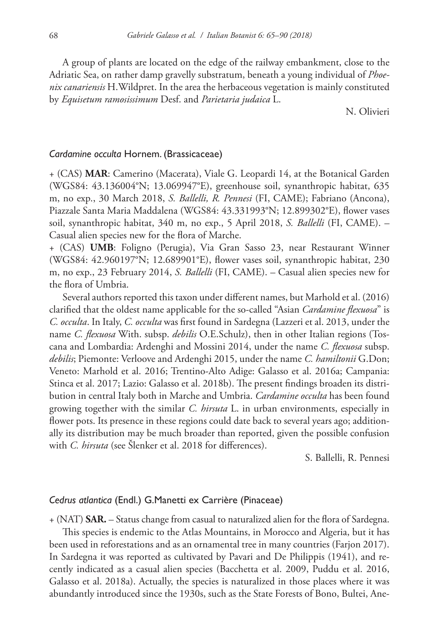A group of plants are located on the edge of the railway embankment, close to the Adriatic Sea, on rather damp gravelly substratum, beneath a young individual of *Phoenix canariensis* H.Wildpret. In the area the herbaceous vegetation is mainly constituted by *Equisetum ramosissimum* Desf. and *Parietaria judaica* L.

N. Olivieri

## *Cardamine occulta* Hornem. (Brassicaceae)

+ (CAS) **MAR**: Camerino (Macerata), Viale G. Leopardi 14, at the Botanical Garden (WGS84: 43.136004°N; 13.069947°E), greenhouse soil, synanthropic habitat, 635 m, no exp., 30 March 2018, *S. Ballelli, R. Pennesi* (FI, CAME); Fabriano (Ancona), Piazzale Santa Maria Maddalena (WGS84: 43.331993°N; 12.899302°E), flower vases soil, synanthropic habitat, 340 m, no exp., 5 April 2018, *S. Ballelli* (FI, CAME). – Casual alien species new for the flora of Marche.

+ (CAS) **UMB**: Foligno (Perugia), Via Gran Sasso 23, near Restaurant Winner (WGS84: 42.960197°N; 12.689901°E), flower vases soil, synanthropic habitat, 230 m, no exp., 23 February 2014, *S. Ballelli* (FI, CAME). – Casual alien species new for the flora of Umbria.

Several authors reported this taxon under different names, but Marhold et al. (2016) clarified that the oldest name applicable for the so-called "Asian *Cardamine flexuosa*" is *C. occulta*. In Italy, *C. occulta* was first found in Sardegna (Lazzeri et al. 2013, under the name *C. flexuosa* With. subsp. *debilis* O.E.Schulz), then in other Italian regions (Toscana and Lombardia: Ardenghi and Mossini 2014, under the name *C. flexuosa* subsp. *debilis*; Piemonte: Verloove and Ardenghi 2015, under the name *C. hamiltonii* G.Don; Veneto: Marhold et al. 2016; Trentino-Alto Adige: Galasso et al. 2016a; Campania: Stinca et al. 2017; Lazio: Galasso et al. 2018b). The present findings broaden its distribution in central Italy both in Marche and Umbria. *Cardamine occulta* has been found growing together with the similar *C. hirsuta* L. in urban environments, especially in flower pots. Its presence in these regions could date back to several years ago; additionally its distribution may be much broader than reported, given the possible confusion with *C. hirsuta* (see Šlenker et al. 2018 for differences).

S. Ballelli, R. Pennesi

## *Cedrus atlantica* (Endl.) G.Manetti ex Carrière (Pinaceae)

+ (NAT) **SAR.** – Status change from casual to naturalized alien for the flora of Sardegna. This species is endemic to the Atlas Mountains, in Morocco and Algeria, but it has been used in reforestations and as an ornamental tree in many countries (Farjon 2017). In Sardegna it was reported as cultivated by Pavari and De Philippis (1941), and recently indicated as a casual alien species (Bacchetta et al. 2009, Puddu et al. 2016, Galasso et al. 2018a). Actually, the species is naturalized in those places where it was abundantly introduced since the 1930s, such as the State Forests of Bono, Bultei, Ane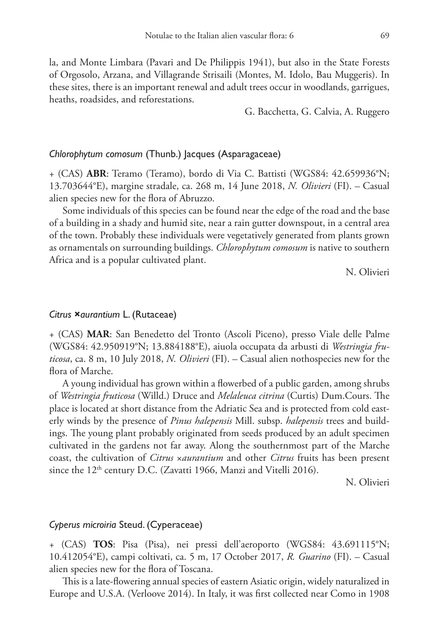la, and Monte Limbara (Pavari and De Philippis 1941), but also in the State Forests of Orgosolo, Arzana, and Villagrande Strisaili (Montes, M. Idolo, Bau Muggeris). In these sites, there is an important renewal and adult trees occur in woodlands, garrigues, heaths, roadsides, and reforestations.

G. Bacchetta, G. Calvia, A. Ruggero

## *Chlorophytum comosum* (Thunb.) Jacques (Asparagaceae)

+ (CAS) **ABR**: Teramo (Teramo), bordo di Via C. Battisti (WGS84: 42.659936°N; 13.703644°E), margine stradale, ca. 268 m, 14 June 2018, *N. Olivieri* (FI). – Casual alien species new for the flora of Abruzzo.

Some individuals of this species can be found near the edge of the road and the base of a building in a shady and humid site, near a rain gutter downspout, in a central area of the town. Probably these individuals were vegetatively generated from plants grown as ornamentals on surrounding buildings. *Chlorophytum comosum* is native to southern Africa and is a popular cultivated plant.

N. Olivieri

## *Citrus* **×***aurantium* L. (Rutaceae)

+ (CAS) **MAR**: San Benedetto del Tronto (Ascoli Piceno), presso Viale delle Palme (WGS84: 42.950919°N; 13.884188°E), aiuola occupata da arbusti di *Westringia fruticosa*, ca. 8 m, 10 July 2018, *N. Olivieri* (FI). – Casual alien nothospecies new for the flora of Marche.

A young individual has grown within a flowerbed of a public garden, among shrubs of *Westringia fruticosa* (Willd.) Druce and *Melaleuca citrina* (Curtis) Dum.Cours. The place is located at short distance from the Adriatic Sea and is protected from cold easterly winds by the presence of *Pinus halepensis* Mill. subsp. *halepensis* trees and buildings. The young plant probably originated from seeds produced by an adult specimen cultivated in the gardens not far away. Along the southernmost part of the Marche coast, the cultivation of *Citrus* ×*aurantium* and other *Citrus* fruits has been present since the  $12<sup>th</sup>$  century D.C. (Zavatti 1966, Manzi and Vitelli 2016).

N. Olivieri

## *Cyperus microiria* Steud. (Cyperaceae)

+ (CAS) **TOS**: Pisa (Pisa), nei pressi dell'aeroporto (WGS84: 43.691115°N; 10.412054°E), campi coltivati, ca. 5 m, 17 October 2017, *R. Guarino* (FI). – Casual alien species new for the flora of Toscana.

This is a late-flowering annual species of eastern Asiatic origin, widely naturalized in Europe and U.S.A. (Verloove 2014). In Italy, it was first collected near Como in 1908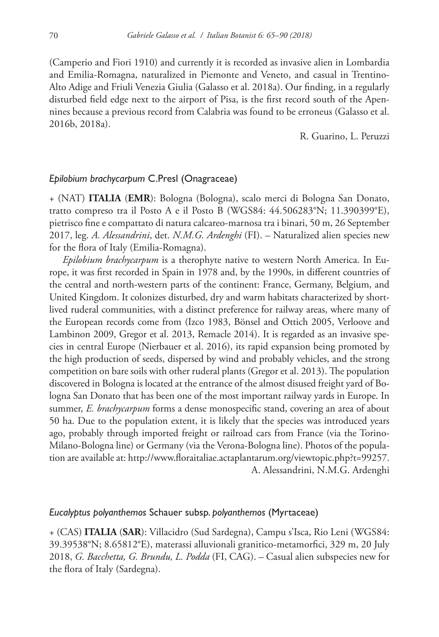(Camperio and Fiori 1910) and currently it is recorded as invasive alien in Lombardia and Emilia-Romagna, naturalized in Piemonte and Veneto, and casual in Trentino-Alto Adige and Friuli Venezia Giulia (Galasso et al. 2018a). Our finding, in a regularly disturbed field edge next to the airport of Pisa, is the first record south of the Apennines because a previous record from Calabria was found to be erroneus (Galasso et al. 2016b, 2018a).

R. Guarino, L. Peruzzi

## *Epilobium brachycarpum* C.Presl (Onagraceae)

+ (NAT) **ITALIA** (**EMR**): Bologna (Bologna), scalo merci di Bologna San Donato, tratto compreso tra il Posto A e il Posto B (WGS84: 44.506283°N; 11.390399°E), pietrisco fine e compattato di natura calcareo-marnosa tra i binari, 50 m, 26 September 2017, leg. *A. Alessandrini*, det. *N.M.G. Ardenghi* (FI). – Naturalized alien species new for the flora of Italy (Emilia-Romagna).

*Epilobium brachycarpum* is a therophyte native to western North America. In Europe, it was first recorded in Spain in 1978 and, by the 1990s, in different countries of the central and north-western parts of the continent: France, Germany, Belgium, and United Kingdom. It colonizes disturbed, dry and warm habitats characterized by shortlived ruderal communities, with a distinct preference for railway areas, where many of the European records come from (Izco 1983, Bönsel and Ottich 2005, Verloove and Lambinon 2009, Gregor et al. 2013, Remacle 2014). It is regarded as an invasive species in central Europe (Nierbauer et al. 2016), its rapid expansion being promoted by the high production of seeds, dispersed by wind and probably vehicles, and the strong competition on bare soils with other ruderal plants (Gregor et al. 2013). The population discovered in Bologna is located at the entrance of the almost disused freight yard of Bologna San Donato that has been one of the most important railway yards in Europe. In summer, *E. brachycarpum* forms a dense monospecific stand, covering an area of about 50 ha. Due to the population extent, it is likely that the species was introduced years ago, probably through imported freight or railroad cars from France (via the Torino-Milano-Bologna line) or Germany (via the Verona-Bologna line). Photos of the population are available at: [http://www.floraitaliae.actaplantarum.org/viewtopic.php?t=99257.](http://www.floraitaliae.actaplantarum.org/viewtopic.php?t=99257) A. Alessandrini, N.M.G. Ardenghi

## *Eucalyptus polyanthemos* Schauer subsp. *polyanthemos* (Myrtaceae)

+ (CAS) **ITALIA** (**SAR**): Villacidro (Sud Sardegna), Campu s'Isca, Rio Leni (WGS84: 39.39538°N; 8.65812°E), materassi alluvionali granitico-metamorfici, 329 m, 20 July 2018, *G. Bacchetta, G. Brundu, L. Podda* (FI, CAG). – Casual alien subspecies new for the flora of Italy (Sardegna).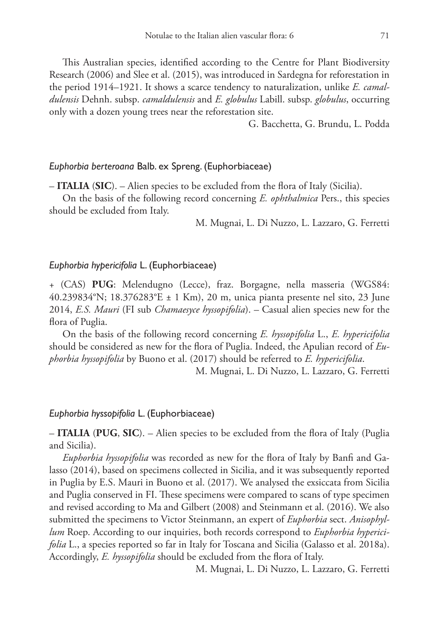This Australian species, identified according to the Centre for Plant Biodiversity Research (2006) and Slee et al. (2015), was introduced in Sardegna for reforestation in the period 1914–1921. It shows a scarce tendency to naturalization, unlike *E. camaldulensis* Dehnh. subsp. *camaldulensis* and *E. globulus* Labill. subsp. *globulus*, occurring only with a dozen young trees near the reforestation site.

G. Bacchetta, G. Brundu, L. Podda

## *Euphorbia berteroana* Balb. ex Spreng. (Euphorbiaceae)

– **ITALIA** (**SIC**). – Alien species to be excluded from the flora of Italy (Sicilia).

On the basis of the following record concerning *E. ophthalmica* Pers., this species should be excluded from Italy.

M. Mugnai, L. Di Nuzzo, L. Lazzaro, G. Ferretti

## *Euphorbia hypericifolia* L. (Euphorbiaceae)

+ (CAS) **PUG**: Melendugno (Lecce), fraz. Borgagne, nella masseria (WGS84: 40.239834°N; 18.376283°E ± 1 Km), 20 m, unica pianta presente nel sito, 23 June 2014, *E.S. Mauri* (FI sub *Chamaesyce hyssopifolia*). – Casual alien species new for the flora of Puglia.

On the basis of the following record concerning *E. hyssopifolia* L., *E. hypericifolia* should be considered as new for the flora of Puglia. Indeed, the Apulian record of *Euphorbia hyssopifolia* by Buono et al. (2017) should be referred to *E. hypericifolia*.

M. Mugnai, L. Di Nuzzo, L. Lazzaro, G. Ferretti

## *Euphorbia hyssopifolia* L. (Euphorbiaceae)

– **ITALIA** (**PUG**, **SIC**). – Alien species to be excluded from the flora of Italy (Puglia and Sicilia).

*Euphorbia hyssopifolia* was recorded as new for the flora of Italy by Banfi and Galasso (2014), based on specimens collected in Sicilia, and it was subsequently reported in Puglia by E.S. Mauri in Buono et al. (2017). We analysed the exsiccata from Sicilia and Puglia conserved in FI. These specimens were compared to scans of type specimen and revised according to Ma and Gilbert (2008) and Steinmann et al. (2016). We also submitted the specimens to Victor Steinmann, an expert of *Euphorbia* sect. *Anisophyllum* Roep. According to our inquiries, both records correspond to *Euphorbia hypericifolia* L., a species reported so far in Italy for Toscana and Sicilia (Galasso et al. 2018a). Accordingly, *E. hyssopifolia* should be excluded from the flora of Italy.

M. Mugnai, L. Di Nuzzo, L. Lazzaro, G. Ferretti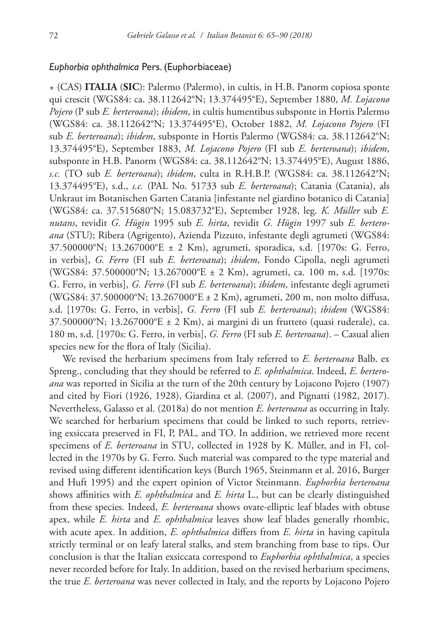## *Euphorbia ophthalmica* Pers. (Euphorbiaceae)

+ (CAS) **ITALIA** (**SIC**): Palermo (Palermo), in cultis, in H.B. Panorm copiosa sponte qui crescit (WGS84: ca. 38.112642°N; 13.374495°E), September 1880, *M. Lojacono Pojero* (P sub *E. berteroana*); *ibidem*, in cultis humentibus subsponte in Hortis Palermo (WGS84: ca. 38.112642°N; 13.374495°E), October 1882, *M. Lojacono Pojero* (FI sub *E. berteroana*); *ibidem*, subsponte in Hortis Palermo (WGS84: ca. 38.112642°N; 13.374495°E), September 1883, *M. Lojacono Pojero* (FI sub *E. berteroana*); *ibidem*, subsponte in H.B. Panorm (WGS84: ca. 38.112642°N; 13.374495°E), August 1886, *s.c.* (TO sub *E. berteroana*); *ibidem*, culta in R.H.B.P. (WGS84: ca. 38.112642°N; 13.374495°E), s.d., *s.c.* (PAL No. 51733 sub *E. berteroana*); Catania (Catania), als Unkraut im Botanischen Garten Catania [infestante nel giardino botanico di Catania] (WGS84: ca. 37.515680°N; 15.083732°E), September 1928, leg. *K. Müller* sub *E. nutans*, revidit *G. Hügin* 1995 sub *E. hirta*, revidit *G. Hügin* 1997 sub *E. berteroana* (STU); Ribera (Agrigento), Azienda Pizzuto, infestante degli agrumeti (WGS84: 37.500000°N; 13.267000°E ± 2 Km), agrumeti, sporadica, s.d. [1970s: G. Ferro, in verbis], *G. Ferro* (FI sub *E. berteroana*); *ibidem*, Fondo Cipolla, negli agrumeti (WGS84: 37.500000°N; 13.267000°E ± 2 Km), agrumeti, ca. 100 m, s.d. [1970s: G. Ferro, in verbis], *G. Ferro* (FI sub *E. berteroana*); *ibidem*, infestante degli agrumeti (WGS84: 37.500000°N; 13.267000°E ± 2 Km), agrumeti, 200 m, non molto diffusa, s.d. [1970s: G. Ferro, in verbis], *G. Ferro* (FI sub *E. berteroana*); *ibidem* (WGS84: 37.500000°N; 13.267000°E ± 2 Km), ai margini di un frutteto (quasi ruderale), ca. 180 m, s.d. [1970s: G. Ferro, in verbis], *G. Ferro* (FI sub *E. berteroana*). – Casual alien species new for the flora of Italy (Sicilia).

We revised the herbarium specimens from Italy referred to *E. berteroana* Balb. ex Spreng., concluding that they should be referred to *E. ophthalmica*. Indeed, *E. berteroana* was reported in Sicilia at the turn of the 20th century by Lojacono Pojero (1907) and cited by Fiori (1926, 1928), Giardina et al. (2007), and Pignatti (1982, 2017). Nevertheless, Galasso et al. (2018a) do not mention *E. berteroana* as occurring in Italy. We searched for herbarium specimens that could be linked to such reports, retrieving exsiccata preserved in FI, P, PAL, and TO. In addition, we retrieved more recent specimens of *E. berteroana* in STU, collected in 1928 by K. Müller, and in FI, collected in the 1970s by G. Ferro. Such material was compared to the type material and revised using different identification keys (Burch 1965, Steinmann et al. 2016, Burger and Huft 1995) and the expert opinion of Victor Steinmann. *Euphorbia berteroana* shows affinities with *E. ophthalmica* and *E. hirta* L., but can be clearly distinguished from these species. Indeed, *E. berteroana* shows ovate-elliptic leaf blades with obtuse apex, while *E. hirta* and *E. ophthalmica* leaves show leaf blades generally rhombic, with acute apex. In addition, *E. ophthalmica* differs from *E. hirta* in having capitula strictly terminal or on leafy lateral stalks, and stem branching from base to tips. Our conclusion is that the Italian exsiccata correspond to *Euphorbia ophthalmica*, a species never recorded before for Italy. In addition, based on the revised herbarium specimens, the true *E. berteroana* was never collected in Italy, and the reports by Lojacono Pojero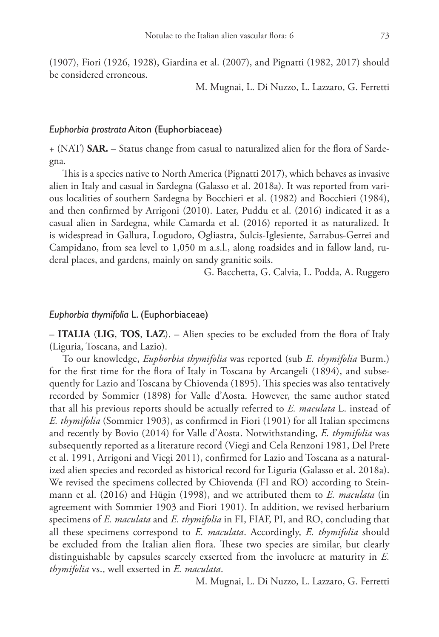(1907), Fiori (1926, 1928), Giardina et al. (2007), and Pignatti (1982, 2017) should be considered erroneous.

M. Mugnai, L. Di Nuzzo, L. Lazzaro, G. Ferretti

## *Euphorbia prostrata* Aiton (Euphorbiaceae)

+ (NAT) **SAR.** – Status change from casual to naturalized alien for the flora of Sardegna.

This is a species native to North America (Pignatti 2017), which behaves as invasive alien in Italy and casual in Sardegna (Galasso et al. 2018a). It was reported from various localities of southern Sardegna by Bocchieri et al. (1982) and Bocchieri (1984), and then confirmed by Arrigoni (2010). Later, Puddu et al. (2016) indicated it as a casual alien in Sardegna, while Camarda et al. (2016) reported it as naturalized. It is widespread in Gallura, Logudoro, Ogliastra, Sulcis-Iglesiente, Sarrabus-Gerrei and Campidano, from sea level to 1,050 m a.s.l., along roadsides and in fallow land, ruderal places, and gardens, mainly on sandy granitic soils.

G. Bacchetta, G. Calvia, L. Podda, A. Ruggero

# *Euphorbia thymifolia* L. (Euphorbiaceae)

– **ITALIA** (**LIG**, **TOS**, **LAZ**). – Alien species to be excluded from the flora of Italy (Liguria, Toscana, and Lazio).

To our knowledge, *Euphorbia thymifolia* was reported (sub *E. thymifolia* Burm.) for the first time for the flora of Italy in Toscana by Arcangeli (1894), and subsequently for Lazio and Toscana by Chiovenda (1895). This species was also tentatively recorded by Sommier (1898) for Valle d'Aosta. However, the same author stated that all his previous reports should be actually referred to *E. maculata* L. instead of *E. thymifolia* (Sommier 1903), as confirmed in Fiori (1901) for all Italian specimens and recently by Bovio (2014) for Valle d'Aosta. Notwithstanding, *E. thymifolia* was subsequently reported as a literature record (Viegi and Cela Renzoni 1981, Del Prete et al. 1991, Arrigoni and Viegi 2011), confirmed for Lazio and Toscana as a naturalized alien species and recorded as historical record for Liguria (Galasso et al. 2018a). We revised the specimens collected by Chiovenda (FI and RO) according to Steinmann et al. (2016) and Hügin (1998), and we attributed them to *E. maculata* (in agreement with Sommier 1903 and Fiori 1901). In addition, we revised herbarium specimens of *E. maculata* and *E. thymifolia* in FI, FIAF, PI, and RO, concluding that all these specimens correspond to *E. maculata*. Accordingly, *E. thymifolia* should be excluded from the Italian alien flora. These two species are similar, but clearly distinguishable by capsules scarcely exserted from the involucre at maturity in *E. thymifolia* vs., well exserted in *E. maculata*.

M. Mugnai, L. Di Nuzzo, L. Lazzaro, G. Ferretti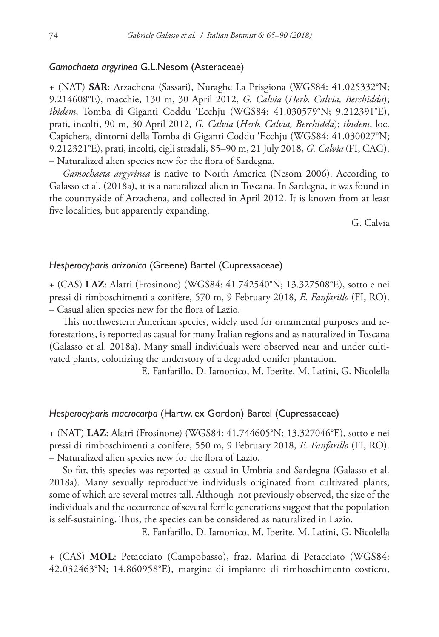## *Gamochaeta argyrinea* G.L.Nesom (Asteraceae)

+ (NAT) **SAR**: Arzachena (Sassari), Nuraghe La Prisgiona (WGS84: 41.025332°N; 9.214608°E), macchie, 130 m, 30 April 2012, *G. Calvia* (*Herb. Calvia, Berchidda*); *ibidem*, Tomba di Giganti Coddu 'Ecchju (WGS84: 41.030579°N; 9.212391°E), prati, incolti, 90 m, 30 April 2012, *G. Calvia* (*Herb. Calvia, Berchidda*); *ibidem*, loc. Capichera, dintorni della Tomba di Giganti Coddu 'Ecchju (WGS84: 41.030027°N; 9.212321°E), prati, incolti, cigli stradali, 85–90 m, 21 July 2018, *G. Calvia* (FI, CAG). – Naturalized alien species new for the flora of Sardegna.

*Gamochaeta argyrinea* is native to North America (Nesom 2006). According to Galasso et al. (2018a), it is a naturalized alien in Toscana. In Sardegna, it was found in the countryside of Arzachena, and collected in April 2012. It is known from at least five localities, but apparently expanding.

G. Calvia

# *Hesperocyparis arizonica* (Greene) Bartel (Cupressaceae)

+ (CAS) **LAZ**: Alatri (Frosinone) (WGS84: 41.742540°N; 13.327508°E), sotto e nei pressi di rimboschimenti a conifere, 570 m, 9 February 2018, *E. Fanfarillo* (FI, RO). – Casual alien species new for the flora of Lazio.

This northwestern American species, widely used for ornamental purposes and reforestations, is reported as casual for many Italian regions and as naturalized in Toscana (Galasso et al. 2018a). Many small individuals were observed near and under cultivated plants, colonizing the understory of a degraded conifer plantation.

E. Fanfarillo, D. Iamonico, M. Iberite, M. Latini, G. Nicolella

## *Hesperocyparis macrocarpa* (Hartw. ex Gordon) Bartel (Cupressaceae)

+ (NAT) **LAZ**: Alatri (Frosinone) (WGS84: 41.744605°N; 13.327046°E), sotto e nei pressi di rimboschimenti a conifere, 550 m, 9 February 2018, *E. Fanfarillo* (FI, RO). – Naturalized alien species new for the flora of Lazio.

So far, this species was reported as casual in Umbria and Sardegna (Galasso et al. 2018a). Many sexually reproductive individuals originated from cultivated plants, some of which are several metres tall. Although not previously observed, the size of the individuals and the occurrence of several fertile generations suggest that the population is self-sustaining. Thus, the species can be considered as naturalized in Lazio.

E. Fanfarillo, D. Iamonico, M. Iberite, M. Latini, G. Nicolella

+ (CAS) **MOL**: Petacciato (Campobasso), fraz. Marina di Petacciato (WGS84: 42.032463°N; 14.860958°E), margine di impianto di rimboschimento costiero,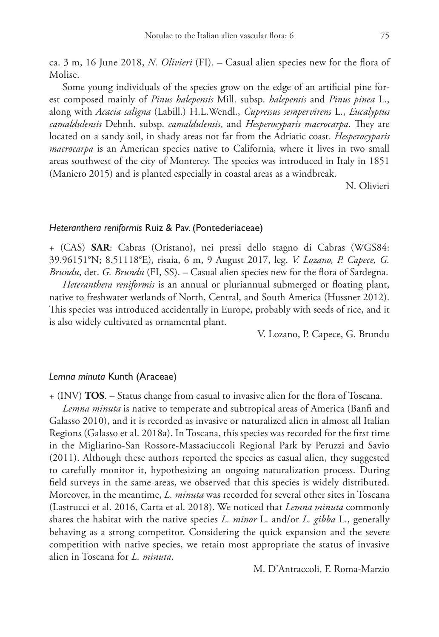ca. 3 m, 16 June 2018, *N. Olivieri* (FI). – Casual alien species new for the flora of Molise.

Some young individuals of the species grow on the edge of an artificial pine forest composed mainly of *Pinus halepensis* Mill. subsp. *halepensis* and *Pinus pinea* L., along with *Acacia saligna* (Labill.) H.L.Wendl., *Cupressus sempervirens* L., *Eucalyptus camaldulensis* Dehnh. subsp. *camaldulensis*, and *Hesperocyparis macrocarpa*. They are located on a sandy soil, in shady areas not far from the Adriatic coast. *Hesperocyparis macrocarpa* is an American species native to California, where it lives in two small areas southwest of the city of Monterey. The species was introduced in Italy in 1851 (Maniero 2015) and is planted especially in coastal areas as a windbreak.

N. Olivieri

#### *Heteranthera reniformis* Ruiz & Pav. (Pontederiaceae)

+ (CAS) **SAR**: Cabras (Oristano), nei pressi dello stagno di Cabras (WGS84: 39.96151°N; 8.51118°E), risaia, 6 m, 9 August 2017, leg. *V. Lozano, P. Capece, G. Brundu*, det. *G. Brundu* (FI, SS). – Casual alien species new for the flora of Sardegna.

*Heteranthera reniformis* is an annual or pluriannual submerged or floating plant, native to freshwater wetlands of North, Central, and South America (Hussner 2012). This species was introduced accidentally in Europe, probably with seeds of rice, and it is also widely cultivated as ornamental plant.

V. Lozano, P. Capece, G. Brundu

## *Lemna minuta* Kunth (Araceae)

+ (INV) **TOS**. – Status change from casual to invasive alien for the flora of Toscana.

*Lemna minuta* is native to temperate and subtropical areas of America (Banfi and Galasso 2010), and it is recorded as invasive or naturalized alien in almost all Italian Regions (Galasso et al. 2018a). In Toscana, this species was recorded for the first time in the Migliarino-San Rossore-Massaciuccoli Regional Park by Peruzzi and Savio (2011). Although these authors reported the species as casual alien, they suggested to carefully monitor it, hypothesizing an ongoing naturalization process. During field surveys in the same areas, we observed that this species is widely distributed. Moreover, in the meantime, *L. minuta* was recorded for several other sites in Toscana (Lastrucci et al. 2016, Carta et al. 2018). We noticed that *Lemna minuta* commonly shares the habitat with the native species *L. minor* L. and/or *L. gibba* L., generally behaving as a strong competitor. Considering the quick expansion and the severe competition with native species, we retain most appropriate the status of invasive alien in Toscana for *L. minuta*.

M. D'Antraccoli, F. Roma-Marzio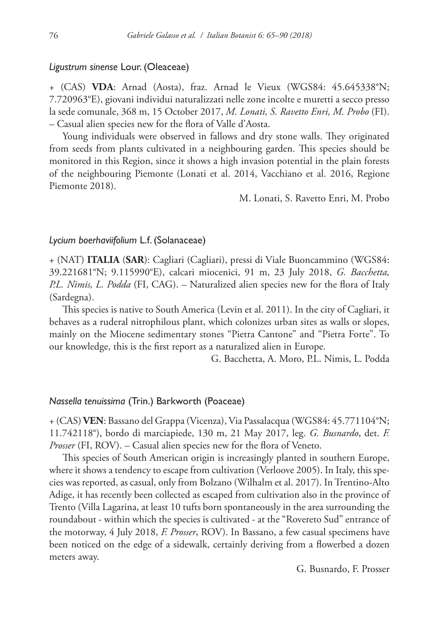## *Ligustrum sinense* Lour. (Oleaceae)

+ (CAS) **VDA**: Arnad (Aosta), fraz. Arnad le Vieux (WGS84: 45.645338°N; 7.720963°E), giovani individui naturalizzati nelle zone incolte e muretti a secco presso la sede comunale, 368 m, 15 October 2017, *M. Lonati, S. Ravetto Enri, M. Probo* (FI). – Casual alien species new for the flora of Valle d'Aosta.

Young individuals were observed in fallows and dry stone walls. They originated from seeds from plants cultivated in a neighbouring garden. This species should be monitored in this Region, since it shows a high invasion potential in the plain forests of the neighbouring Piemonte (Lonati et al. 2014, Vacchiano et al. 2016, Regione Piemonte 2018).

M. Lonati, S. Ravetto Enri, M. Probo

## *Lycium boerhaviifolium* L.f. (Solanaceae)

+ (NAT) **ITALIA** (**SAR**): Cagliari (Cagliari), pressi di Viale Buoncammino (WGS84: 39.221681°N; 9.115990°E), calcari miocenici, 91 m, 23 July 2018, *G. Bacchetta, P.L. Nimis, L. Podda* (FI, CAG). – Naturalized alien species new for the flora of Italy (Sardegna).

This species is native to South America (Levin et al. 2011). In the city of Cagliari, it behaves as a ruderal nitrophilous plant, which colonizes urban sites as walls or slopes, mainly on the Miocene sedimentary stones "Pietra Cantone" and "Pietra Forte". To our knowledge, this is the first report as a naturalized alien in Europe.

G. Bacchetta, A. Moro, P.L. Nimis, L. Podda

## *Nassella tenuissima* (Trin.) Barkworth (Poaceae)

+ (CAS) **VEN**: Bassano del Grappa (Vicenza), Via Passalacqua (WGS84: 45.771104°N; 11.742118°), bordo di marciapiede, 130 m, 21 May 2017, leg. *G. Busnardo*, det. *F. Prosser* (FI, ROV). – Casual alien species new for the flora of Veneto.

This species of South American origin is increasingly planted in southern Europe, where it shows a tendency to escape from cultivation (Verloove 2005). In Italy, this species was reported, as casual, only from Bolzano (Wilhalm et al. 2017). In Trentino-Alto Adige, it has recently been collected as escaped from cultivation also in the province of Trento (Villa Lagarina, at least 10 tufts born spontaneously in the area surrounding the roundabout - within which the species is cultivated - at the "Rovereto Sud" entrance of the motorway, 4 July 2018, *F. Prosser*, ROV). In Bassano, a few casual specimens have been noticed on the edge of a sidewalk, certainly deriving from a flowerbed a dozen meters away.

G. Busnardo, F. Prosser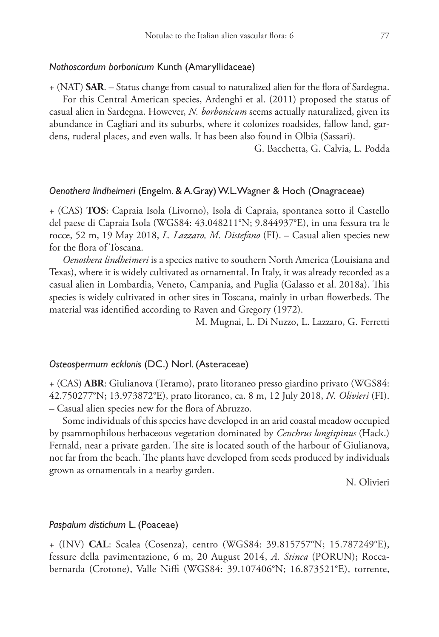## *Nothoscordum borbonicum* Kunth (Amaryllidaceae)

+ (NAT) **SAR**. – Status change from casual to naturalized alien for the flora of Sardegna.

For this Central American species, Ardenghi et al. (2011) proposed the status of casual alien in Sardegna. However, *N. borbonicum* seems actually naturalized, given its abundance in Cagliari and its suburbs, where it colonizes roadsides, fallow land, gardens, ruderal places, and even walls. It has been also found in Olbia (Sassari).

G. Bacchetta, G. Calvia, L. Podda

## *Oenothera lindheimeri* (Engelm. & A.Gray) W.L.Wagner & Hoch (Onagraceae)

+ (CAS) **TOS**: Capraia Isola (Livorno), Isola di Capraia, spontanea sotto il Castello del paese di Capraia Isola (WGS84: 43.048211°N; 9.844937°E), in una fessura tra le rocce, 52 m, 19 May 2018, *L. Lazzaro, M. Distefano* (FI). – Casual alien species new for the flora of Toscana.

*Oenothera lindheimeri* is a species native to southern North America (Louisiana and Texas), where it is widely cultivated as ornamental. In Italy, it was already recorded as a casual alien in Lombardia, Veneto, Campania, and Puglia (Galasso et al. 2018a). This species is widely cultivated in other sites in Toscana, mainly in urban flowerbeds. The material was identified according to Raven and Gregory (1972).

M. Mugnai, L. Di Nuzzo, L. Lazzaro, G. Ferretti

# *Osteospermum ecklonis* (DC.) Norl. (Asteraceae)

+ (CAS) **ABR**: Giulianova (Teramo), prato litoraneo presso giardino privato (WGS84: 42.750277°N; 13.973872°E), prato litoraneo, ca. 8 m, 12 July 2018, *N. Olivieri* (FI). – Casual alien species new for the flora of Abruzzo.

Some individuals of this species have developed in an arid coastal meadow occupied by psammophilous herbaceous vegetation dominated by *Cenchrus longispinus* (Hack.) Fernald, near a private garden. The site is located south of the harbour of Giulianova, not far from the beach. The plants have developed from seeds produced by individuals grown as ornamentals in a nearby garden.

N. Olivieri

#### *Paspalum distichum* L. (Poaceae)

+ (INV) **CAL**: Scalea (Cosenza), centro (WGS84: 39.815757°N; 15.787249°E), fessure della pavimentazione, 6 m, 20 August 2014, *A. Stinca* (PORUN); Roccabernarda (Crotone), Valle Niffi (WGS84: 39.107406°N; 16.873521°E), torrente,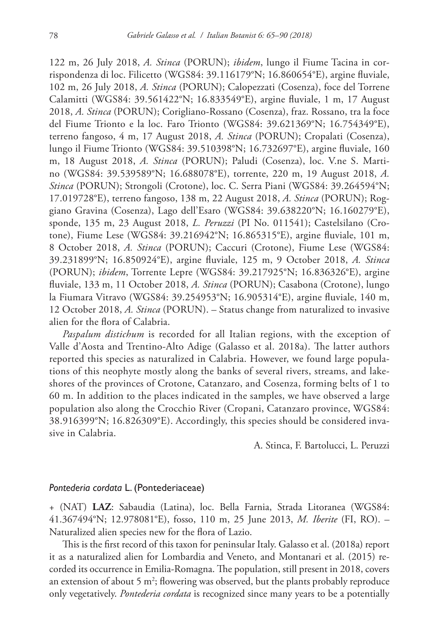122 m, 26 July 2018, *A. Stinca* (PORUN); *ibidem*, lungo il Fiume Tacina in corrispondenza di loc. Filicetto (WGS84: 39.116179°N; 16.860654°E), argine fluviale, 102 m, 26 July 2018, *A. Stinca* (PORUN); Calopezzati (Cosenza), foce del Torrene Calamitti (WGS84: 39.561422°N; 16.833549°E), argine fluviale, 1 m, 17 August 2018, *A. Stinca* (PORUN); Corigliano-Rossano (Cosenza), fraz. Rossano, tra la foce del Fiume Trionto e la loc. Faro Trionto (WGS84: 39.621369°N; 16.754349°E), terreno fangoso, 4 m, 17 August 2018, *A. Stinca* (PORUN); Cropalati (Cosenza), lungo il Fiume Trionto (WGS84: 39.510398°N; 16.732697°E), argine fluviale, 160 m, 18 August 2018, *A. Stinca* (PORUN); Paludi (Cosenza), loc. V.ne S. Martino (WGS84: 39.539589°N; 16.688078°E), torrente, 220 m, 19 August 2018, *A. Stinca* (PORUN); Strongoli (Crotone), loc. C. Serra Piani (WGS84: 39.264594°N; 17.019728°E), terreno fangoso, 138 m, 22 August 2018, *A. Stinca* (PORUN); Roggiano Gravina (Cosenza), Lago dell'Esaro (WGS84: 39.638220°N; 16.160279°E), sponde, 135 m, 23 August 2018, *L. Peruzzi* (PI No. 011541); Castelsilano (Crotone), Fiume Lese (WGS84: 39.216942°N; 16.865315°E), argine fluviale, 101 m, 8 October 2018, *A. Stinca* (PORUN); Caccuri (Crotone), Fiume Lese (WGS84: 39.231899°N; 16.850924°E), argine fluviale, 125 m, 9 October 2018, *A. Stinca* (PORUN); *ibidem*, Torrente Lepre (WGS84: 39.217925°N; 16.836326°E), argine fluviale, 133 m, 11 October 2018, *A. Stinca* (PORUN); Casabona (Crotone), lungo la Fiumara Vitravo (WGS84: 39.254953°N; 16.905314°E), argine fluviale, 140 m, 12 October 2018, *A. Stinca* (PORUN). – Status change from naturalized to invasive alien for the flora of Calabria.

*Paspalum distichum* is recorded for all Italian regions, with the exception of Valle d'Aosta and Trentino-Alto Adige (Galasso et al. 2018a). The latter authors reported this species as naturalized in Calabria. However, we found large populations of this neophyte mostly along the banks of several rivers, streams, and lakeshores of the provinces of Crotone, Catanzaro, and Cosenza, forming belts of 1 to 60 m. In addition to the places indicated in the samples, we have observed a large population also along the Crocchio River (Cropani, Catanzaro province, WGS84: 38.916399°N; 16.826309°E). Accordingly, this species should be considered invasive in Calabria.

A. Stinca, F. Bartolucci, L. Peruzzi

## *Pontederia cordata* L. (Pontederiaceae)

+ (NAT) **LAZ**: Sabaudia (Latina), loc. Bella Farnia, Strada Litoranea (WGS84: 41.367494°N; 12.978081°E), fosso, 110 m, 25 June 2013, *M. Iberite* (FI, RO). – Naturalized alien species new for the flora of Lazio.

This is the first record of this taxon for peninsular Italy. Galasso et al. (2018a) report it as a naturalized alien for Lombardia and Veneto, and Montanari et al. (2015) recorded its occurrence in Emilia-Romagna. The population, still present in 2018, covers an extension of about 5 m<sup>2</sup>; flowering was observed, but the plants probably reproduce only vegetatively. *Pontederia cordata* is recognized since many years to be a potentially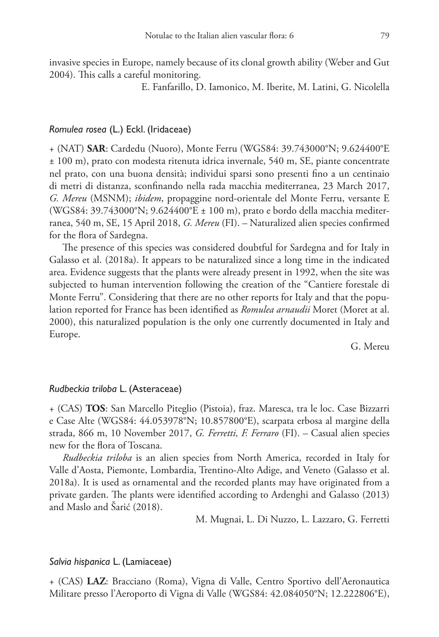invasive species in Europe, namely because of its clonal growth ability (Weber and Gut 2004). This calls a careful monitoring.

E. Fanfarillo, D. Iamonico, M. Iberite, M. Latini, G. Nicolella

## *Romulea rosea* (L.) Eckl. (Iridaceae)

+ (NAT) **SAR**: Cardedu (Nuoro), Monte Ferru (WGS84: 39.743000°N; 9.624400°E ± 100 m), prato con modesta ritenuta idrica invernale, 540 m, SE, piante concentrate nel prato, con una buona densità; individui sparsi sono presenti fino a un centinaio di metri di distanza, sconfinando nella rada macchia mediterranea, 23 March 2017, *G. Mereu* (MSNM); *ibidem*, propaggine nord-orientale del Monte Ferru, versante E (WGS84: 39.743000°N; 9.624400°E ± 100 m), prato e bordo della macchia mediterranea, 540 m, SE, 15 April 2018, *G. Mereu* (FI). – Naturalized alien species confirmed for the flora of Sardegna.

The presence of this species was considered doubtful for Sardegna and for Italy in Galasso et al. (2018a). It appears to be naturalized since a long time in the indicated area. Evidence suggests that the plants were already present in 1992, when the site was subjected to human intervention following the creation of the "Cantiere forestale di Monte Ferru". Considering that there are no other reports for Italy and that the population reported for France has been identified as *Romulea arnaudii* Moret (Moret at al. 2000), this naturalized population is the only one currently documented in Italy and Europe.

G. Mereu

## *Rudbeckia triloba* L. (Asteraceae)

+ (CAS) **TOS**: San Marcello Piteglio (Pistoia), fraz. Maresca, tra le loc. Case Bizzarri e Case Alte (WGS84: 44.053978°N; 10.857800°E), scarpata erbosa al margine della strada, 866 m, 10 November 2017, *G. Ferretti, F. Ferraro* (FI). – Casual alien species new for the flora of Toscana.

*Rudbeckia triloba* is an alien species from North America, recorded in Italy for Valle d'Aosta, Piemonte, Lombardia, Trentino-Alto Adige, and Veneto (Galasso et al. 2018a). It is used as ornamental and the recorded plants may have originated from a private garden. The plants were identified according to Ardenghi and Galasso (2013) and Maslo and Šarić (2018).

M. Mugnai, L. Di Nuzzo, L. Lazzaro, G. Ferretti

# *Salvia hispanica* L. (Lamiaceae)

+ (CAS) **LAZ**: Bracciano (Roma), Vigna di Valle, Centro Sportivo dell'Aeronautica Militare presso l'Aeroporto di Vigna di Valle (WGS84: 42.084050°N; 12.222806°E),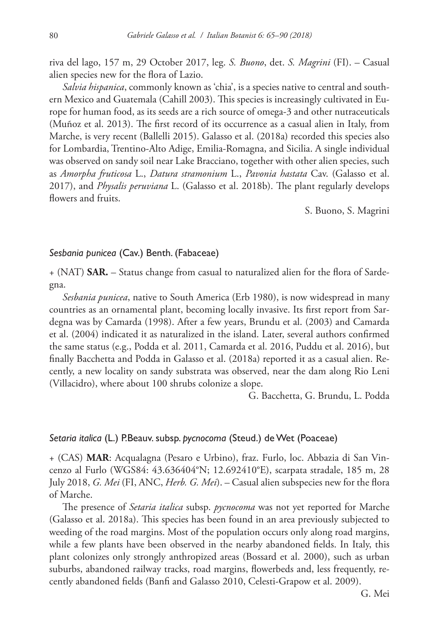riva del lago, 157 m, 29 October 2017, leg. *S. Buono*, det. *S. Magrini* (FI). – Casual alien species new for the flora of Lazio.

*Salvia hispanica*, commonly known as 'chia', is a species native to central and southern Mexico and Guatemala (Cahill 2003). This species is increasingly cultivated in Europe for human food, as its seeds are a rich source of omega-3 and other nutraceuticals (Muñoz et al. 2013). The first record of its occurrence as a casual alien in Italy, from Marche, is very recent (Ballelli 2015). Galasso et al. (2018a) recorded this species also for Lombardia, Trentino-Alto Adige, Emilia-Romagna, and Sicilia. A single individual was observed on sandy soil near Lake Bracciano, together with other alien species, such as *Amorpha fruticosa* L., *Datura stramonium* L., *Pavonia hastata* Cav. (Galasso et al. 2017), and *Physalis peruviana* L. (Galasso et al. 2018b). The plant regularly develops flowers and fruits.

S. Buono, S. Magrini

## *Sesbania punicea* (Cav.) Benth. (Fabaceae)

+ (NAT) **SAR.** – Status change from casual to naturalized alien for the flora of Sardegna.

*Sesbania punicea*, native to South America (Erb 1980), is now widespread in many countries as an ornamental plant, becoming locally invasive. Its first report from Sardegna was by Camarda (1998). After a few years, Brundu et al. (2003) and Camarda et al. (2004) indicated it as naturalized in the island. Later, several authors confirmed the same status (e.g., Podda et al. 2011, Camarda et al. 2016, Puddu et al. 2016), but finally Bacchetta and Podda in Galasso et al. (2018a) reported it as a casual alien. Recently, a new locality on sandy substrata was observed, near the dam along Rio Leni (Villacidro), where about 100 shrubs colonize a slope.

G. Bacchetta, G. Brundu, L. Podda

# *Setaria italica* (L.) P.Beauv. subsp. *pycnocoma* (Steud.) de Wet (Poaceae)

+ (CAS) **MAR**: Acqualagna (Pesaro e Urbino), fraz. Furlo, loc. Abbazia di San Vincenzo al Furlo (WGS84: 43.636404°N; 12.692410°E), scarpata stradale, 185 m, 28 July 2018, *G. Mei* (FI, ANC, *Herb. G. Mei*). – Casual alien subspecies new for the flora of Marche.

The presence of *Setaria italica* subsp. *pycnocoma* was not yet reported for Marche (Galasso et al. 2018a). This species has been found in an area previously subjected to weeding of the road margins. Most of the population occurs only along road margins, while a few plants have been observed in the nearby abandoned fields. In Italy, this plant colonizes only strongly anthropized areas (Bossard et al. 2000), such as urban suburbs, abandoned railway tracks, road margins, flowerbeds and, less frequently, recently abandoned fields (Banfi and Galasso 2010, Celesti-Grapow et al. 2009).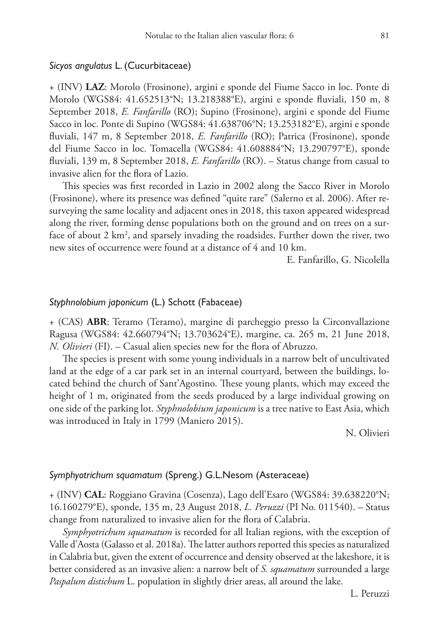## *Sicyos angulatus* L. (Cucurbitaceae)

+ (INV) **LAZ**: Morolo (Frosinone), argini e sponde del Fiume Sacco in loc. Ponte di Morolo (WGS84: 41.652513°N; 13.218388°E), argini e sponde fluviali, 150 m, 8 September 2018, *E. Fanfarillo* (RO); Supino (Frosinone), argini e sponde del Fiume Sacco in loc. Ponte di Supino (WGS84: 41.638706°N; 13.253182°E), argini e sponde fluviali, 147 m, 8 September 2018, *E. Fanfarillo* (RO); Patrica (Frosinone), sponde del Fiume Sacco in loc. Tomacella (WGS84: 41.608884°N; 13.290797°E), sponde fluviali, 139 m, 8 September 2018, *E. Fanfarillo* (RO). – Status change from casual to invasive alien for the flora of Lazio.

This species was first recorded in Lazio in 2002 along the Sacco River in Morolo (Frosinone), where its presence was defined "quite rare" (Salerno et al. 2006). After resurveying the same locality and adjacent ones in 2018, this taxon appeared widespread along the river, forming dense populations both on the ground and on trees on a surface of about 2 km<sup>2</sup>, and sparsely invading the roadsides. Further down the river, two new sites of occurrence were found at a distance of 4 and 10 km.

E. Fanfarillo, G. Nicolella

## *Styphnolobium japonicum* (L.) Schott (Fabaceae)

+ (CAS) **ABR**: Teramo (Teramo), margine di parcheggio presso la Circonvallazione Ragusa (WGS84: 42.660794°N; 13.703624°E), margine, ca. 265 m, 21 June 2018, *N. Olivieri* (FI). – Casual alien species new for the flora of Abruzzo.

The species is present with some young individuals in a narrow belt of uncultivated land at the edge of a car park set in an internal courtyard, between the buildings, located behind the church of Sant'Agostino. These young plants, which may exceed the height of 1 m, originated from the seeds produced by a large individual growing on one side of the parking lot. *Styphnolobium japonicum* is a tree native to East Asia, which was introduced in Italy in 1799 (Maniero 2015).

N. Olivieri

# *Symphyotrichum squamatum* (Spreng.) G.L.Nesom (Asteraceae)

+ (INV) **CAL**: Roggiano Gravina (Cosenza), Lago dell'Esaro (WGS84: 39.638220°N; 16.160279°E), sponde, 135 m, 23 August 2018, *L. Peruzzi* (PI No. 011540). – Status change from naturalized to invasive alien for the flora of Calabria.

*Symphyotrichum squamatum* is recorded for all Italian regions, with the exception of Valle d'Aosta (Galasso et al. 2018a). The latter authors reported this species as naturalized in Calabria but, given the extent of occurrence and density observed at the lakeshore, it is better considered as an invasive alien: a narrow belt of *S. squamatum* surrounded a large *Paspalum distichum* L. population in slightly drier areas, all around the lake.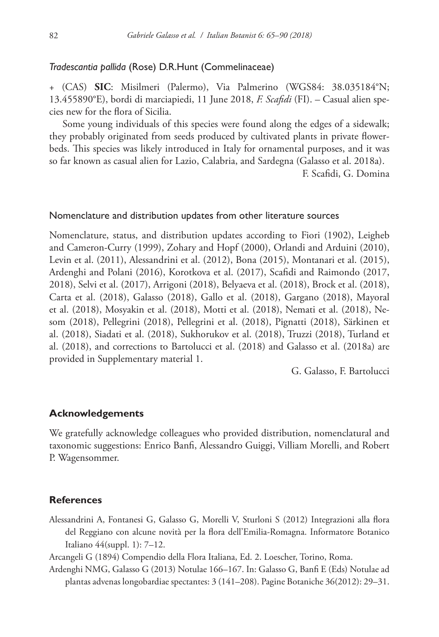## *Tradescantia pallida* (Rose) D.R.Hunt (Commelinaceae)

+ (CAS) **SIC**: Misilmeri (Palermo), Via Palmerino (WGS84: 38.035184°N; 13.455890°E), bordi di marciapiedi, 11 June 2018, *F. Scafidi* (FI). – Casual alien species new for the flora of Sicilia.

Some young individuals of this species were found along the edges of a sidewalk; they probably originated from seeds produced by cultivated plants in private flowerbeds. This species was likely introduced in Italy for ornamental purposes, and it was so far known as casual alien for Lazio, Calabria, and Sardegna (Galasso et al. 2018a).

F. Scafidi, G. Domina

## Nomenclature and distribution updates from other literature sources

Nomenclature, status, and distribution updates according to Fiori (1902), Leigheb and Cameron-Curry (1999), Zohary and Hopf (2000), Orlandi and Arduini (2010), Levin et al. (2011), Alessandrini et al. (2012), Bona (2015), Montanari et al. (2015), Ardenghi and Polani (2016), Korotkova et al. (2017), Scafidi and Raimondo (2017, 2018), Selvi et al. (2017), Arrigoni (2018), Belyaeva et al. (2018), Brock et al. (2018), Carta et al. (2018), Galasso (2018), Gallo et al. (2018), Gargano (2018), Mayoral et al. (2018), Mosyakin et al. (2018), Motti et al. (2018), Nemati et al. (2018), Nesom (2018), Pellegrini (2018), Pellegrini et al. (2018), Pignatti (2018), Särkinen et al. (2018), Siadati et al. (2018), Sukhorukov et al. (2018), Truzzi (2018), Turland et al. (2018), and corrections to Bartolucci et al. (2018) and Galasso et al. (2018a) are provided in Supplementary material 1.

G. Galasso, F. Bartolucci

## **Acknowledgements**

We gratefully acknowledge colleagues who provided distribution, nomenclatural and taxonomic suggestions: Enrico Banfi, Alessandro Guiggi, Villiam Morelli, and Robert P. Wagensommer.

## **References**

- Alessandrini A, Fontanesi G, Galasso G, Morelli V, Sturloni S (2012) Integrazioni alla flora del Reggiano con alcune novità per la flora dell'Emilia-Romagna. Informatore Botanico Italiano 44(suppl. 1): 7–12.
- Arcangeli G (1894) Compendio della Flora Italiana, Ed. 2. Loescher, Torino, Roma.
- Ardenghi NMG, Galasso G (2013) Notulae 166–167. In: Galasso G, Banfi E (Eds) Notulae ad plantas advenas longobardiae spectantes: 3 (141–208). Pagine Botaniche 36(2012): 29–31.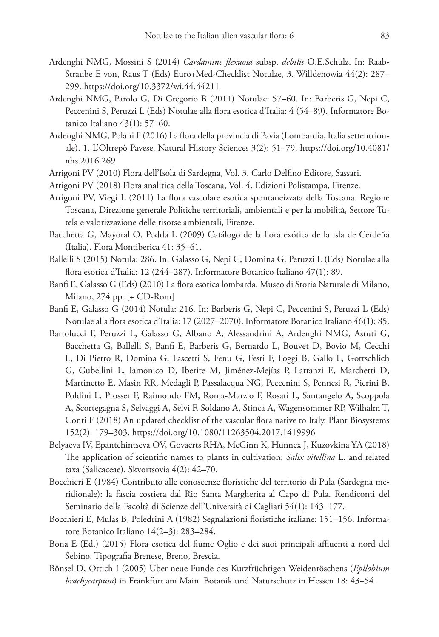- Ardenghi NMG, Mossini S (2014) *Cardamine flexuosa* subsp. *debilis* O.E.Schulz. In: Raab-Straube E von, Raus T (Eds) Euro+Med-Checklist Notulae, 3. Willdenowia 44(2): 287– 299.<https://doi.org/10.3372/wi.44.44211>
- Ardenghi NMG, Parolo G, Di Gregorio B (2011) Notulae: 57–60. In: Barberis G, Nepi C, Peccenini S, Peruzzi L (Eds) Notulae alla flora esotica d'Italia: 4 (54–89). Informatore Botanico Italiano 43(1): 57–60.
- Ardenghi NMG, Polani F (2016) La flora della provincia di Pavia (Lombardia, Italia settentrionale). 1. L'Oltrepò Pavese. Natural History Sciences 3(2): 51–79. [https://doi.org/10.4081/](https://doi.org/10.4081/nhs.2016.269) [nhs.2016.269](https://doi.org/10.4081/nhs.2016.269)
- Arrigoni PV (2010) Flora dell'Isola di Sardegna, Vol. 3. Carlo Delfino Editore, Sassari.
- Arrigoni PV (2018) Flora analitica della Toscana, Vol. 4. Edizioni Polistampa, Firenze.
- Arrigoni PV, Viegi L (2011) La flora vascolare esotica spontaneizzata della Toscana. Regione Toscana, Direzione generale Politiche territoriali, ambientali e per la mobilità, Settore Tutela e valorizzazione delle risorse ambientali, Firenze.
- Bacchetta G, Mayoral O, Podda L (2009) Catálogo de la flora exótica de la isla de Cerdeña (Italia). Flora Montiberica 41: 35–61.
- Ballelli S (2015) Notula: 286. In: Galasso G, Nepi C, Domina G, Peruzzi L (Eds) Notulae alla flora esotica d'Italia: 12 (244–287). Informatore Botanico Italiano 47(1): 89.
- Banfi E, Galasso G (Eds) (2010) La flora esotica lombarda. Museo di Storia Naturale di Milano, Milano, 274 pp. [+ CD-Rom]
- Banfi E, Galasso G (2014) Notula: 216. In: Barberis G, Nepi C, Peccenini S, Peruzzi L (Eds) Notulae alla flora esotica d'Italia: 17 (2027–2070). Informatore Botanico Italiano 46(1): 85.
- Bartolucci F, Peruzzi L, Galasso G, Albano A, Alessandrini A, Ardenghi NMG, Astuti G, Bacchetta G, Ballelli S, Banfi E, Barberis G, Bernardo L, Bouvet D, Bovio M, Cecchi L, Di Pietro R, Domina G, Fascetti S, Fenu G, Festi F, Foggi B, Gallo L, Gottschlich G, Gubellini L, Iamonico D, Iberite M, Jiménez-Mejías P, Lattanzi E, Marchetti D, Martinetto E, Masin RR, Medagli P, Passalacqua NG, Peccenini S, Pennesi R, Pierini B, Poldini L, Prosser F, Raimondo FM, Roma-Marzio F, Rosati L, Santangelo A, Scoppola A, Scortegagna S, Selvaggi A, Selvi F, Soldano A, Stinca A, Wagensommer RP, Wilhalm T, Conti F (2018) An updated checklist of the vascular flora native to Italy. Plant Biosystems 152(2): 179–303. <https://doi.org/10.1080/11263504.2017.1419996>
- Belyaeva IV, Epantchintseva OV, Govaerts RHA, McGinn K, Hunnex J, Kuzovkina YA (2018) The application of scientific names to plants in cultivation: *Salix vitellina* L. and related taxa (Salicaceae). Skvortsovia 4(2): 42–70.
- Bocchieri E (1984) Contributo alle conoscenze floristiche del territorio di Pula (Sardegna meridionale): la fascia costiera dal Rio Santa Margherita al Capo di Pula. Rendiconti del Seminario della Facoltà di Scienze dell'Università di Cagliari 54(1): 143–177.
- Bocchieri E, Mulas B, Poledrini A (1982) Segnalazioni floristiche italiane: 151–156. Informatore Botanico Italiano 14(2–3): 283–284.
- Bona E (Ed.) (2015) Flora esotica del fiume Oglio e dei suoi principali affluenti a nord del Sebino. Tipografia Brenese, Breno, Brescia.
- Bönsel D, Ottich I (2005) Über neue Funde des Kurzfrüchtigen Weidenröschens (*Epilobium brachycarpum*) in Frankfurt am Main. Botanik und Naturschutz in Hessen 18: 43−54.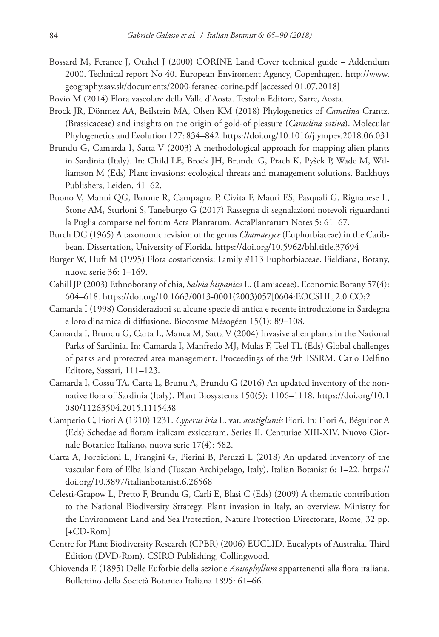- Bossard M, Feranec J, Otahel J (2000) CORINE Land Cover technical guide Addendum 2000. Technical report No 40. European Enviroment Agency, Copenhagen. [http://www.](http://www.geography.sav.sk/documents/2000-feranec-corine.pdf) [geography.sav.sk/documents/2000-feranec-corine.pdf](http://www.geography.sav.sk/documents/2000-feranec-corine.pdf) [accessed 01.07.2018]
- Bovio M (2014) Flora vascolare della Valle d'Aosta. Testolin Editore, Sarre, Aosta.
- Brock JR, Dönmez AA, Beilstein MA, Olsen KM (2018) Phylogenetics of *Camelina* Crantz. (Brassicaceae) and insights on the origin of gold-of-pleasure (*Camelina sativa*). Molecular Phylogenetics and Evolution 127: 834–842.<https://doi.org/10.1016/j.ympev.2018.06.031>
- Brundu G, Camarda I, Satta V (2003) A methodological approach for mapping alien plants in Sardinia (Italy). In: Child LE, Brock JH, Brundu G, Prach K, Pyšek P, Wade M, Williamson M (Eds) Plant invasions: ecological threats and management solutions. Backhuys Publishers, Leiden, 41–62.
- Buono V, Manni QG, Barone R, Campagna P, Civita F, Mauri ES, Pasquali G, Rignanese L, Stone AM, Sturloni S, Taneburgo G (2017) Rassegna di segnalazioni notevoli riguardanti la Puglia comparse nel forum Acta Plantarum. ActaPlantarum Notes 5: 61−67.
- Burch DG (1965) A taxonomic revision of the genus *Chamaesyce* (Euphorbiaceae) in the Caribbean. Dissertation, University of Florida. <https://doi.org/10.5962/bhl.title.37694>
- Burger W, Huft M (1995) Flora costaricensis: Family #113 Euphorbiaceae. Fieldiana, Botany, nuova serie 36: 1–169.
- Cahill JP (2003) Ethnobotany of chia, *Salvia hispanica* L. (Lamiaceae). Economic Botany 57(4): 604–618. [https://doi.org/10.1663/0013-0001\(2003\)057\[0604:EOCSHL\]2.0.CO;2](https://doi.org/10.1663/0013-0001(2003)057%5B0604:EOCSHL%5D2.0.CO;2)
- Camarda I (1998) Considerazioni su alcune specie di antica e recente introduzione in Sardegna e loro dinamica di diffusione. Biocosme Mésogéen 15(1): 89–108.
- Camarda I, Brundu G, Carta L, Manca M, Satta V (2004) Invasive alien plants in the National Parks of Sardinia. In: Camarda I, Manfredo MJ, Mulas F, Teel TL (Eds) Global challenges of parks and protected area management. Proceedings of the 9th ISSRM. Carlo Delfino Editore, Sassari, 111–123.
- Camarda I, Cossu TA, Carta L, Brunu A, Brundu G (2016) An updated inventory of the nonnative flora of Sardinia (Italy). Plant Biosystems 150(5): 1106–1118. [https://doi.org/10.1](https://doi.org/10.1080/11263504.2015.1115438) [080/11263504.2015.1115438](https://doi.org/10.1080/11263504.2015.1115438)
- Camperio C, Fiori A (1910) 1231. *Cyperus iria* L. var. *acutiglumis* Fiori. In: Fiori A, Béguinot A (Eds) Schedae ad floram italicam exsiccatam. Series II. Centuriae XIII-XIV. Nuovo Giornale Botanico Italiano, nuova serie 17(4): 582.
- Carta A, Forbicioni L, Frangini G, Pierini B, Peruzzi L (2018) An updated inventory of the vascular flora of Elba Island (Tuscan Archipelago, Italy). Italian Botanist 6: 1–22. [https://](https://doi.org/10.3897/italianbotanist.6.26568) [doi.org/10.3897/italianbotanist.6.26568](https://doi.org/10.3897/italianbotanist.6.26568)
- Celesti-Grapow L, Pretto F, Brundu G, Carli E, Blasi C (Eds) (2009) A thematic contribution to the National Biodiversity Strategy. Plant invasion in Italy, an overview. Ministry for the Environment Land and Sea Protection, Nature Protection Directorate, Rome, 32 pp. [+CD-Rom]
- Centre for Plant Biodiversity Research (CPBR) (2006) EUCLID. Eucalypts of Australia. Third Edition (DVD-Rom). CSIRO Publishing, Collingwood.
- Chiovenda E (1895) Delle Euforbie della sezione *Anisophyllum* appartenenti alla flora italiana. Bullettino della Società Botanica Italiana 1895: 61–66.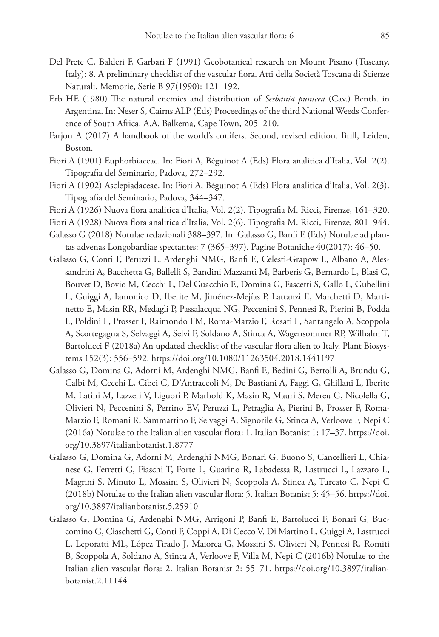- Del Prete C, Balderi F, Garbari F (1991) Geobotanical research on Mount Pisano (Tuscany, Italy): 8. A preliminary checklist of the vascular flora. Atti della Società Toscana di Scienze Naturali, Memorie, Serie B 97(1990): 121–192.
- Erb HE (1980) The natural enemies and distribution of *Sesbania punicea* (Cav.) Benth. in Argentina. In: Neser S, Cairns ALP (Eds) Proceedings of the third National Weeds Conference of South Africa. A.A. Balkema, Cape Town, 205–210.
- Farjon A (2017) A handbook of the world's conifers. Second, revised edition. Brill, Leiden, Boston.
- Fiori A (1901) Euphorbiaceae. In: Fiori A, Béguinot A (Eds) Flora analitica d'Italia, Vol. 2(2). Tipografia del Seminario, Padova, 272–292.
- Fiori A (1902) Asclepiadaceae. In: Fiori A, Béguinot A (Eds) Flora analitica d'Italia, Vol. 2(3). Tipografia del Seminario, Padova, 344–347.
- Fiori A (1926) Nuova flora analitica d'Italia, Vol. 2(2). Tipografia M. Ricci, Firenze, 161–320.
- Fiori A (1928) Nuova flora analitica d'Italia, Vol. 2(6). Tipografia M. Ricci, Firenze, 801–944.
- Galasso G (2018) Notulae redazionali 388–397. In: Galasso G, Banfi E (Eds) Notulae ad plantas advenas Longobardiae spectantes: 7 (365–397). Pagine Botaniche 40(2017): 46–50.
- Galasso G, Conti F, Peruzzi L, Ardenghi NMG, Banfi E, Celesti-Grapow L, Albano A, Alessandrini A, Bacchetta G, Ballelli S, Bandini Mazzanti M, Barberis G, Bernardo L, Blasi C, Bouvet D, Bovio M, Cecchi L, Del Guacchio E, Domina G, Fascetti S, Gallo L, Gubellini L, Guiggi A, Iamonico D, Iberite M, Jiménez-Mejías P, Lattanzi E, Marchetti D, Martinetto E, Masin RR, Medagli P, Passalacqua NG, Peccenini S, Pennesi R, Pierini B, Podda L, Poldini L, Prosser F, Raimondo FM, Roma-Marzio F, Rosati L, Santangelo A, Scoppola A, Scortegagna S, Selvaggi A, Selvi F, Soldano A, Stinca A, Wagensommer RP, Wilhalm T, Bartolucci F (2018a) An updated checklist of the vascular flora alien to Italy. Plant Biosystems 152(3): 556–592.<https://doi.org/10.1080/11263504.2018.1441197>
- Galasso G, Domina G, Adorni M, Ardenghi NMG, Banfi E, Bedini G, Bertolli A, Brundu G, Calbi M, Cecchi L, Cibei C, D'Antraccoli M, De Bastiani A, Faggi G, Ghillani L, Iberite M, Latini M, Lazzeri V, Liguori P, Marhold K, Masin R, Mauri S, Mereu G, Nicolella G, Olivieri N, Peccenini S, Perrino EV, Peruzzi L, Petraglia A, Pierini B, Prosser F, Roma-Marzio F, Romani R, Sammartino F, Selvaggi A, Signorile G, Stinca A, Verloove F, Nepi C (2016a) Notulae to the Italian alien vascular flora: 1. Italian Botanist 1: 17–37. [https://doi.](https://doi.org/10.3897/italianbotanist.1.8777) [org/10.3897/italianbotanist.1.8777](https://doi.org/10.3897/italianbotanist.1.8777)
- Galasso G, Domina G, Adorni M, Ardenghi NMG, Bonari G, Buono S, Cancellieri L, Chianese G, Ferretti G, Fiaschi T, Forte L, Guarino R, Labadessa R, Lastrucci L, Lazzaro L, Magrini S, Minuto L, Mossini S, Olivieri N, Scoppola A, Stinca A, Turcato C, Nepi C (2018b) Notulae to the Italian alien vascular flora: 5. Italian Botanist 5: 45–56. [https://doi.](https://doi.org/10.3897/italianbotanist.5.25910) [org/10.3897/italianbotanist.5.25910](https://doi.org/10.3897/italianbotanist.5.25910)
- Galasso G, Domina G, Ardenghi NMG, Arrigoni P, Banfi E, Bartolucci F, Bonari G, Buccomino G, Ciaschetti G, Conti F, Coppi A, Di Cecco V, Di Martino L, Guiggi A, Lastrucci L, Leporatti ML, López Tirado J, Maiorca G, Mossini S, Olivieri N, Pennesi R, Romiti B, Scoppola A, Soldano A, Stinca A, Verloove F, Villa M, Nepi C (2016b) Notulae to the Italian alien vascular flora: 2. Italian Botanist 2: 55–71. [https://doi.org/10.3897/italian](https://doi.org/10.3897/italianbotanist.2.11144)[botanist.2.11144](https://doi.org/10.3897/italianbotanist.2.11144)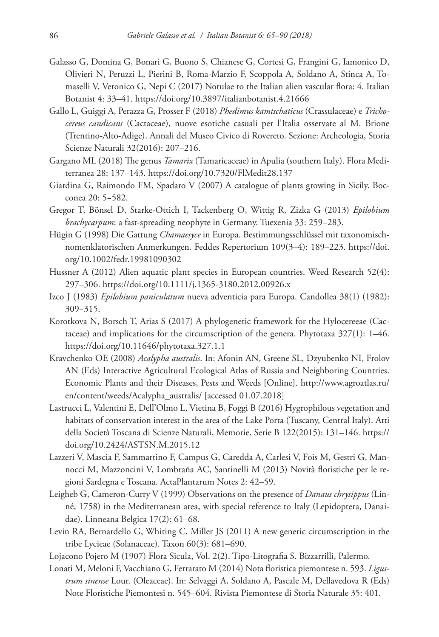- Galasso G, Domina G, Bonari G, Buono S, Chianese G, Cortesi G, Frangini G, Iamonico D, Olivieri N, Peruzzi L, Pierini B, Roma-Marzio F, Scoppola A, Soldano A, Stinca A, Tomaselli V, Veronico G, Nepi C (2017) Notulae to the Italian alien vascular flora: 4. Italian Botanist 4: 33–41.<https://doi.org/10.3897/italianbotanist.4.21666>
- Gallo L, Guiggi A, Perazza G, Prosser F (2018) *Phedimus kamtschaticus* (Crassulaceae) e *Trichocereus candicans* (Cactaceae), nuove esotiche casuali per l'Italia osservate al M. Brione (Trentino-Alto-Adige). Annali del Museo Civico di Rovereto. Sezione: Archeologia, Storia Scienze Naturali 32(2016): 207–216.
- Gargano ML (2018) The genus *Tamarix* (Tamaricaceae) in Apulia (southern Italy). Flora Mediterranea 28: 137–143. <https://doi.org/10.7320/FlMedit28.137>
- Giardina G, Raimondo FM, Spadaro V (2007) A catalogue of plants growing in Sicily. Bocconea 20: 5−582.
- Gregor T, Bönsel D, Starke-Ottich I, Tackenberg O, Wittig R, Zizka G (2013) *Epilobium brachycarpum*: a fast-spreading neophyte in Germany. Tuexenia 33: 259−283.
- Hügin G (1998) Die Gattung *Chamaesyce* in Europa. Bestimmungsschlüssel mit taxonomisch‐ nomenklatorischen Anmerkungen. Feddes Repertorium 109(3–4): 189–223. [https://doi.](https://doi.org/10.1002/fedr.19981090302) [org/10.1002/fedr.19981090302](https://doi.org/10.1002/fedr.19981090302)
- Hussner A (2012) Alien aquatic plant species in European countries. Weed Research 52(4): 297–306.<https://doi.org/10.1111/j.1365-3180.2012.00926.x>
- Izco J (1983) *Epilobium paniculatum* nueva adventicia para Europa. Candollea 38(1) (1982): 309−315.
- Korotkova N, Borsch T, Arias S (2017) A phylogenetic framework for the Hylocereeae (Cactaceae) and implications for the circumscription of the genera. Phytotaxa 327(1): 1–46. <https://doi.org/10.11646/phytotaxa.327.1.1>
- Kravchenko OE (2008) *Acalypha australis*. In: Afonin AN, Greene SL, Dzyubenko NI, Frolov AN (Eds) Interactive Agricultural Ecological Atlas of Russia and Neighboring Countries. Economic Plants and their Diseases, Pests and Weeds [Online]. [http://www.agroatlas.ru/](http://www.agroatlas.ru/en/content/weeds/Acalypha_australis/) [en/content/weeds/Acalypha\\_australis/](http://www.agroatlas.ru/en/content/weeds/Acalypha_australis/) [accessed 01.07.2018]
- Lastrucci L, Valentini E, Dell'Olmo L, Vietina B, Foggi B (2016) Hygrophilous vegetation and habitats of conservation interest in the area of the Lake Porta (Tuscany, Central Italy). Atti della Società Toscana di Scienze Naturali, Memorie, Serie B 122(2015): 131–146. [https://](https://doi.org/10.2424/ASTSN.M.2015.12) [doi.org/10.2424/ASTSN.M.2015.12](https://doi.org/10.2424/ASTSN.M.2015.12)
- Lazzeri V, Mascia F, Sammartino F, Campus G, Caredda A, Carlesi V, Fois M, Gestri G, Mannocci M, Mazzoncini V, Lombraña AC, Santinelli M (2013) Novità floristiche per le regioni Sardegna e Toscana. ActaPlantarum Notes 2: 42–59.
- Leigheb G, Cameron-Curry V (1999) Observations on the presence of *Danaus chrysippus* (Linné, 1758) in the Mediterranean area, with special reference to Italy (Lepidoptera, Danaidae). Linneana Belgica 17(2): 61–68.
- Levin RA, Bernardello G, Whiting C, Miller JS (2011) A new generic circumscription in the tribe Lycieae (Solanaceae). Taxon 60(3): 681–690.
- Lojacono Pojero M (1907) Flora Sicula, Vol. 2(2). Tipo-Litografia S. Bizzarrilli, Palermo.
- Lonati M, Meloni F, Vacchiano G, Ferrarato M (2014) Nota floristica piemontese n. 593. *Ligustrum sinense* Lour. (Oleaceae). In: Selvaggi A, Soldano A, Pascale M, Dellavedova R (Eds) Note Floristiche Piemontesi n. 545–604. Rivista Piemontese di Storia Naturale 35: 401.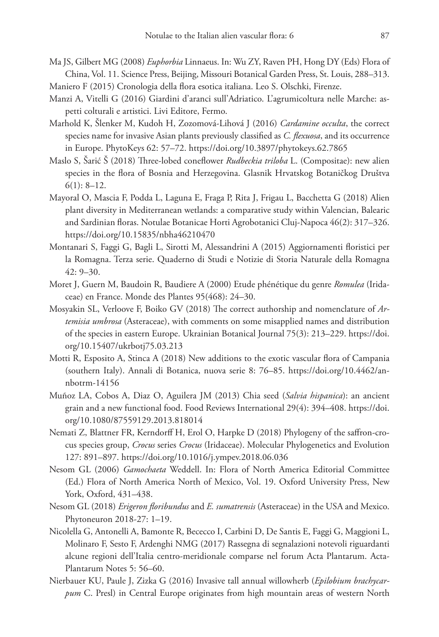Ma JS, Gilbert MG (2008) *Euphorbia* Linnaeus. In: Wu ZY, Raven PH, Hong DY (Eds) Flora of China, Vol. 11. Science Press, Beijing, Missouri Botanical Garden Press, St. Louis, 288–313.

Maniero F (2015) Cronologia della flora esotica italiana. Leo S. Olschki, Firenze.

- Manzi A, Vitelli G (2016) Giardini d'aranci sull'Adriatico. L'agrumicoltura nelle Marche: aspetti colturali e artistici. Livi Editore, Fermo.
- Marhold K, Šlenker M, Kudoh H, Zozomová-Lihová J (2016) *Cardamine occulta*, the correct species name for invasive Asian plants previously classified as *C. flexuosa*, and its occurrence in Europe. PhytoKeys 62: 57–72.<https://doi.org/10.3897/phytokeys.62.7865>
- Maslo S, Šarić Š (2018) Three-lobed coneflower *Rudbeckia triloba* L. (Compositae): new alien species in the flora of Bosnia and Herzegovina. Glasnik Hrvatskog Botaničkog Društva  $6(1): 8-12.$
- Mayoral O, Mascia F, Podda L, Laguna E, Fraga P, Rita J, Frigau L, Bacchetta G (2018) Alien plant diversity in Mediterranean wetlands: a comparative study within Valencian, Balearic and Sardinian floras. Notulae Botanicae Horti Agrobotanici Cluj-Napoca 46(2): 317–326. <https://doi.org/10.15835/nbha46210470>
- Montanari S, Faggi G, Bagli L, Sirotti M, Alessandrini A (2015) Aggiornamenti floristici per la Romagna. Terza serie. Quaderno di Studi e Notizie di Storia Naturale della Romagna 42: 9–30.
- Moret J, Guern M, Baudoin R, Baudiere A (2000) Etude phénétique du genre *Romulea* (Iridaceae) en France. Monde des Plantes 95(468): 24–30.
- Mosyakin SL, Verloove F, Boiko GV (2018) The correct authorship and nomenclature of *Artemisia umbrosa* (Asteraceae), with comments on some misapplied names and distribution of the species in eastern Europe. Ukrainian Botanical Journal 75(3): 213–229. [https://doi.](https://doi.org/10.15407/ukrbotj75.03.213) [org/10.15407/ukrbotj75.03.213](https://doi.org/10.15407/ukrbotj75.03.213)
- Motti R, Esposito A, Stinca A (2018) New additions to the exotic vascular flora of Campania (southern Italy). Annali di Botanica, nuova serie 8: 76–85. [https://doi.org/10.4462/an](https://doi.org/10.4462/annbotrm-14156)[nbotrm-14156](https://doi.org/10.4462/annbotrm-14156)
- Muñoz LA, Cobos A, Diaz O, Aguilera JM (2013) Chia seed (*Salvia hispanica*): an ancient grain and a new functional food. Food Reviews International 29(4): 394–408. [https://doi.](https://doi.org/10.1080/87559129.2013.818014) [org/10.1080/87559129.2013.818014](https://doi.org/10.1080/87559129.2013.818014)
- Nemati Z, Blattner FR, Kerndorff H, Erol O, Harpke D (2018) Phylogeny of the saffron-crocus species group, *Crocus* series *Crocus* (Iridaceae). Molecular Phylogenetics and Evolution 127: 891–897.<https://doi.org/10.1016/j.ympev.2018.06.036>
- Nesom GL (2006) *Gamochaeta* Weddell. In: Flora of North America Editorial Committee (Ed.) Flora of North America North of Mexico, Vol. 19. Oxford University Press, New York, Oxford, 431–438.
- Nesom GL (2018) *Erigeron floribundus* and *E. sumatrensis* (Asteraceae) in the USA and Mexico. Phytoneuron 2018-27: 1–19.
- Nicolella G, Antonelli A, Bamonte R, Bececco I, Carbini D, De Santis E, Faggi G, Maggioni L, Molinaro F, Sesto F, Ardenghi NMG (2017) Rassegna di segnalazioni notevoli riguardanti alcune regioni dell'Italia centro-meridionale comparse nel forum Acta Plantarum. Acta-Plantarum Notes 5: 56–60.
- Nierbauer KU, Paule J, Zizka G (2016) Invasive tall annual willowherb (*Epilobium brachycarpum* C. Presl) in Central Europe originates from high mountain areas of western North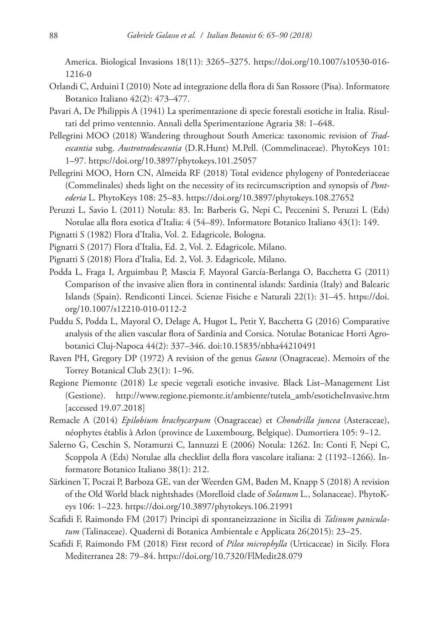America. Biological Invasions 18(11): 3265–3275. [https://doi.org/10.1007/s10530-016-](https://doi.org/10.1007/s10530-016-1216-0) [1216-0](https://doi.org/10.1007/s10530-016-1216-0)

- Orlandi C, Arduini I (2010) Note ad integrazione della flora di San Rossore (Pisa). Informatore Botanico Italiano 42(2): 473–477.
- Pavari A, De Philippis A (1941) La sperimentazione di specie forestali esotiche in Italia. Risultati del primo ventennio. Annali della Sperimentazione Agraria 38: 1–648.
- Pellegrini MOO (2018) Wandering throughout South America: taxonomic revision of *Tradescantia* subg. *Austrotradescantia* (D.R.Hunt) M.Pell. (Commelinaceae). PhytoKeys 101: 1–97.<https://doi.org/10.3897/phytokeys.101.25057>

Pellegrini MOO, Horn CN, Almeida RF (2018) Total evidence phylogeny of Pontederiaceae (Commelinales) sheds light on the necessity of its recircumscription and synopsis of *Pontederia* L. PhytoKeys 108: 25–83.<https://doi.org/10.3897/phytokeys.108.27652>

- Peruzzi L, Savio L (2011) Notula: 83. In: Barberis G, Nepi C, Peccenini S, Peruzzi L (Eds) Notulae alla flora esotica d'Italia: 4 (54–89). Informatore Botanico Italiano 43(1): 149.
- Pignatti S (1982) Flora d'Italia, Vol. 2. Edagricole, Bologna.
- Pignatti S (2017) Flora d'Italia, Ed. 2, Vol. 2. Edagricole, Milano.
- Pignatti S (2018) Flora d'Italia, Ed. 2, Vol. 3. Edagricole, Milano.
- Podda L, Fraga I, Arguimbau P, Mascia F, Mayoral García-Berlanga O, Bacchetta G (2011) Comparison of the invasive alien flora in continental islands: Sardinia (Italy) and Balearic Islands (Spain). Rendiconti Lincei. Scienze Fisiche e Naturali 22(1): 31–45. [https://doi.](https://doi.org/10.1007/s12210-010-0112-2) [org/10.1007/s12210-010-0112-2](https://doi.org/10.1007/s12210-010-0112-2)
- Puddu S, Podda L, Mayoral O, Delage A, Hugot L, Petit Y, Bacchetta G (2016) Comparative analysis of the alien vascular flora of Sardinia and Corsica. Notulae Botanicae Horti Agrobotanici Cluj-Napoca 44(2): 337–346. [doi:10.15835/nbha44210491](https://doi.org/10.15835/nbha44210491)
- Raven PH, Gregory DP (1972) A revision of the genus *Gaura* (Onagraceae). Memoirs of the Torrey Botanical Club 23(1): 1–96.
- Regione Piemonte (2018) Le specie vegetali esotiche invasive. Black List–Management List (Gestione). [http://www.regione.piemonte.it/ambiente/tutela\\_amb/esoticheInvasive.htm](http://www.regione.piemonte.it/ambiente/tutela_amb/esoticheInvasive.htm) [accessed 19.07.2018]
- Remacle A (2014) *Epilobium brachycarpum* (Onagraceae) et *Chondrilla juncea* (Asteraceae), néophytes établis à Arlon (province de Luxembourg, Belgique). Dumortiera 105: 9−12.
- Salerno G, Ceschin S, Notamurzi C, Iannuzzi E (2006) Notula: 1262. In: Conti F, Nepi C, Scoppola A (Eds) Notulae alla checklist della flora vascolare italiana: 2 (1192–1266). Informatore Botanico Italiano 38(1): 212.
- Särkinen T, Poczai P, Barboza GE, van der Weerden GM, Baden M, Knapp S (2018) A revision of the Old World black nightshades (Morelloid clade of *Solanum* L., Solanaceae). PhytoKeys 106: 1–223. <https://doi.org/10.3897/phytokeys.106.21991>
- Scafidi F, Raimondo FM (2017) Principi di spontaneizzazione in Sicilia di *Talinum paniculatum* (Talinaceae). Quaderni di Botanica Ambientale e Applicata 26(2015): 23–25.
- Scafidi F, Raimondo FM (2018) First record of *Pilea microphylla* (Urticaceae) in Sicily. Flora Mediterranea 28: 79–84.<https://doi.org/10.7320/FlMedit28.079>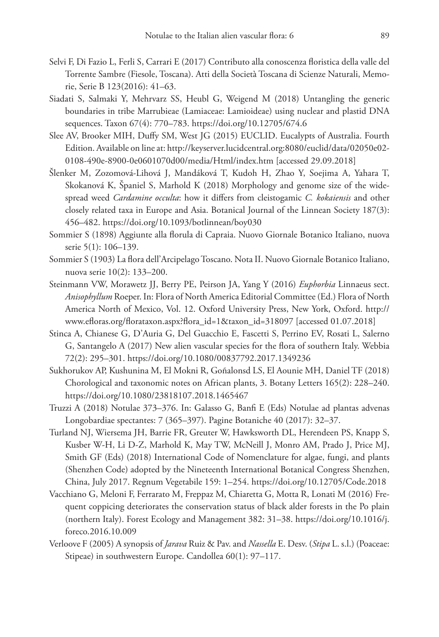- Selvi F, Di Fazio L, Ferli S, Carrari E (2017) Contributo alla conoscenza floristica della valle del Torrente Sambre (Fiesole, Toscana). Atti della Società Toscana di Scienze Naturali, Memorie, Serie B 123(2016): 41–63.
- Siadati S, Salmaki Y, Mehrvarz SS, Heubl G, Weigend M (2018) Untangling the generic boundaries in tribe Marrubieae (Lamiaceae: Lamioideae) using nuclear and plastid DNA sequences. Taxon 67(4): 770–783.<https://doi.org/10.12705/674.6>
- Slee AV, Brooker MIH, Duffy SM, West JG (2015) EUCLID. Eucalypts of Australia. Fourth Edition. Available on line at: [http://keyserver.lucidcentral.org:8080/euclid/data/02050e02-](http://keyserver.lucidcentral.org:8080/euclid/data/02050e02-0108-490e-8900-0e0601070d00/media/Html/index.htm) [0108-490e-8900-0e0601070d00/media/Html/index.htm](http://keyserver.lucidcentral.org:8080/euclid/data/02050e02-0108-490e-8900-0e0601070d00/media/Html/index.htm) [accessed 29.09.2018]
- Šlenker M, Zozomová-Lihová J, Mandáková T, Kudoh H, Zhao Y, Soejima A, Yahara T, Skokanová K, Španiel S, Marhold K (2018) Morphology and genome size of the widespread weed *Cardamine occulta*: how it differs from cleistogamic *C. kokaiensis* and other closely related taxa in Europe and Asia. Botanical Journal of the Linnean Society 187(3): 456–482.<https://doi.org/10.1093/botlinnean/boy030>
- Sommier S (1898) Aggiunte alla florula di Capraia. Nuovo Giornale Botanico Italiano, nuova serie 5(1): 106–139.
- Sommier S (1903) La flora dell'Arcipelago Toscano. Nota II. Nuovo Giornale Botanico Italiano, nuova serie 10(2): 133–200.
- Steinmann VW, Morawetz JJ, Berry PE, Peirson JA, Yang Y (2016) *Euphorbia* Linnaeus sect. *Anisophyllum* Roeper. In: Flora of North America Editorial Committee (Ed.) Flora of North America North of Mexico, Vol. 12. Oxford University Press, New York, Oxford. [http://](http://www.efloras.org/florataxon.aspx?flora_id=1&taxon_id=318097) [www.efloras.org/florataxon.aspx?flora\\_id=1&taxon\\_id=318097](http://www.efloras.org/florataxon.aspx?flora_id=1&taxon_id=318097) [accessed 01.07.2018]
- Stinca A, Chianese G, D'Auria G, Del Guacchio E, Fascetti S, Perrino EV, Rosati L, Salerno G, Santangelo A (2017) New alien vascular species for the flora of southern Italy. Webbia 72(2): 295–301. <https://doi.org/10.1080/00837792.2017.1349236>
- Sukhorukov AP, Kushunina M, El Mokni R, Goñalonsd LS, El Aounie MH, Daniel TF (2018) Chorological and taxonomic notes on African plants, 3. Botany Letters 165(2): 228–240. <https://doi.org/10.1080/23818107.2018.1465467>
- Truzzi A (2018) Notulae 373–376. In: Galasso G, Banfi E (Eds) Notulae ad plantas advenas Longobardiae spectantes: 7 (365–397). Pagine Botaniche 40 (2017): 32–37.
- Turland NJ, Wiersema JH, Barrie FR, Greuter W, Hawksworth DL, Herendeen PS, Knapp S, Kusber W-H, Li D-Z, Marhold K, May TW, McNeill J, Monro AM, Prado J, Price MJ, Smith GF (Eds) (2018) International Code of Nomenclature for algae, fungi, and plants (Shenzhen Code) adopted by the Nineteenth International Botanical Congress Shenzhen, China, July 2017. Regnum Vegetabile 159: 1–254.<https://doi.org/10.12705/Code.2018>
- Vacchiano G, Meloni F, Ferrarato M, Freppaz M, Chiaretta G, Motta R, Lonati M (2016) Frequent coppicing deteriorates the conservation status of black alder forests in the Po plain (northern Italy). Forest Ecology and Management 382: 31–38. [https://doi.org/10.1016/j.](https://doi.org/10.1016/j.foreco.2016.10.009) [foreco.2016.10.009](https://doi.org/10.1016/j.foreco.2016.10.009)
- Verloove F (2005) A synopsis of *Jarava* Ruiz & Pav. and *Nassella* E. Desv. (*Stipa* L. s.l.) (Poaceae: Stipeae) in southwestern Europe. Candollea 60(1): 97–117.